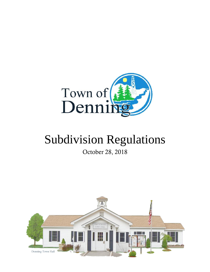

# Subdivision Regulations

October 28, 2018

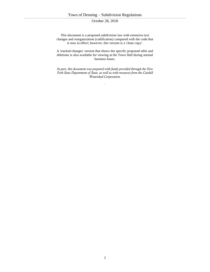This document is a proposed subdivision law with extensive text changes and reorganization (codification) compared with the code that is now in effect; however, this version is a 'clean copy'.

A 'tracked-changes' version that shows the specific proposed edits and deletions is also available for viewing at the Town Hall during normal business hours.

*In part, this document was prepared with funds provided through the New York State Department of State, as well as with resources from the Catskill Watershed Corporation.*

*.*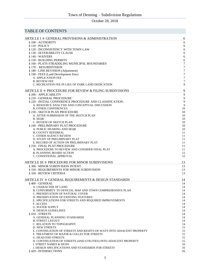# TABLE OF CONTENTS

| ARTICLE I ☆ GENERAL PROVISIONS & ADMINISTRATION                                                            | 6              |
|------------------------------------------------------------------------------------------------------------|----------------|
| § 100 - AUTHORITY                                                                                          | 6              |
| $§ 110 - POLICY$                                                                                           | 6              |
| § 120 - INCONSISTENCY WITH TOWN LAW<br>§ 130 - SEVERABILITY CLAUSE                                         | 6<br>6         |
| § 140 - WAIVERS                                                                                            | 6              |
| § 150 - BUILDING PERMITS                                                                                   | 6              |
| § 160 - PLATS STRADDLING MUNICIPAL BOUNDARIES                                                              | $\overline{7}$ |
| § 170 – RESUBDIVISION                                                                                      | 7              |
| § 180 - LINE REVISION (Adjustment)<br>§ 190 - FEES (Land Development Fees)                                 | 7<br>7         |
| A. APPLICATION FEE                                                                                         | $\overline{7}$ |
| <b>B. REVIEW FEE</b>                                                                                       | 7              |
| C. RECREATION FEE IN LIEU OF PARK LAND DEDICATION                                                          | 8              |
| ARTICLE II $\star$ PROCEDURE FOR REVIEW & FILING SUBDIVISIONS                                              | 9              |
| § 200 - APPLICABILITY                                                                                      | 9              |
| § 210 - GENERAL PROCEDURE                                                                                  | 9              |
| § 220 - INITIAL CONFERENCE PROCEDURE AND CLASSIFICATION.<br>A. RESOURCE ANALYSIS AND CONCEPTUAL DISCUSSION | 9<br>9         |
| <b>B. OTHER CONFERENCES</b>                                                                                | 10             |
| § 230 - SKETCH PLAN PROCEDURE                                                                              | 10             |
| A. AFTER SUBMISSION OF THE SKETCH PLAN                                                                     | 10             |
| B. SEQR<br>C. REVIEW OF SKETCH PLAN                                                                        | 10<br>10       |
| § 240 - PRELIMINARY PLAT PROCEDURE                                                                         | 10             |
| A. PUBLIC HEARING AND SEQR                                                                                 | 10             |
| <b>B. COUNTY REFERRAL</b>                                                                                  | 11<br>11       |
| <b>C. OTHER AGENCY REVIEW</b><br>D. STUDY OF PRELIMINARY PLAT                                              | 11             |
| E. RECORD OF ACTION ON PRELIMINARY PLAT                                                                    | 11             |
| § 250 - FINAL PLAT PROCEDURE                                                                               | 11             |
| A. PROCEDURE TO REVIEW AND CONSIDER FINAL PLAT<br><b>B. PLANNING BOARD ACTION</b>                          | 11<br>12       |
| C. CONDITIONAL APPROVAL                                                                                    | 12             |
|                                                                                                            |                |
| ARTICLE III $\star$ PROCEDURE FOR MINOR SUBDIVISIONS<br>§ 300 - MINOR SUBDIVISION INTENT                   | 13<br>13       |
| § 310 - REQUIREMENTS FOR MINOR SUBDIVISION                                                                 | 13             |
| § 320 - REVIEW CRITERIA                                                                                    | 13             |
| ARTICLE IV ☆ GENERAL REQUIREMENTS & DESIGN STANDARDS                                                       | 14             |
| § 400 - GENERAL                                                                                            | 14             |
| A. CHARACTER OF LAND                                                                                       | 14             |
| B. CONFORMITY TO OFFICIAL MAP AND TOWN COMPREHENSIVE PLAN                                                  | 14             |
| C. PRESERVATION OF NATURAL COVER<br>D. PRESERVATION OF EXISTING FEATURES                                   | 14<br>14       |
| E. SPECIFICATIONS FOR STREETS AND REQUIRED IMPROVEMENTS                                                    | 14             |
| F. ACCESS                                                                                                  | 14             |
| <b>G. WATER SUPPLY</b>                                                                                     | 14             |
| <b>H. DESIGN GUIDELINES</b><br>§410 - STREETS                                                              | 14<br>14       |
| A. GENERAL PLANNING STANDARDS                                                                              | 14             |
| <b>B. STREET LAYOUT</b>                                                                                    | 14             |
| C. RELATION TO TOPOGRAPHY<br><b>D. NEW STREETS</b>                                                         | 14<br>15       |
| E. CONTINUATION OF STREETS AND RIGHTS-OF-WAYS INTO ADJACENT PROPERTY                                       | 15             |
| F. TREATMENT OF MAJOR & COLLECTOR STREETS                                                                  | 15             |
| <b>G. DEAD END STREETS</b>                                                                                 | 15             |
| H. CONTINUATION OF STREETS (AND UTILITIES) INTO ADJACENT PROPERTY                                          | 15             |
| I. STREET NAMES & SIGNS<br>J. DESIGN SPECIFICATIONS AND STANDARDS FOR STREETS                              | 16<br>16       |
| § 420 - INTERSECTIONS                                                                                      | 16             |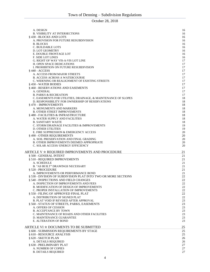| A. DESIGN                                                                                               | 16       |
|---------------------------------------------------------------------------------------------------------|----------|
| <b>B. VISIBILITY AT INTERSECTIONS</b>                                                                   | 16       |
| § 430 - BLOCKS AND LOTS                                                                                 | 16       |
| A. PROVISION FOR FUTURE RESUBDIVISION                                                                   | 16       |
| <b>B. BLOCKS</b>                                                                                        | 16       |
| C. BUILDABLE LOTS                                                                                       | 16       |
| D. LOT GEOMETRY<br>E. DOUBLE FRONTAGE LOT                                                               | 16<br>16 |
| <b>F. SIDE LOT LINES</b>                                                                                | 16       |
| G. RIGHT OF WAY VIS-A-VIS LOT LINE                                                                      | 17       |
| <b>H. OPEN SPACE DEDICATIONS</b>                                                                        | 17       |
| I. PROHIBITION ON FUTURE RESUBDIVISION                                                                  | 17       |
| § 440 - ACCESS                                                                                          | 17       |
| A. ACCESS FROM MAJOR STREETS                                                                            | 17       |
| <b>B. ACCESS ACROSS A WATERCOURSE</b>                                                                   | 17       |
| C. WIDENING OR REALIGNMENT OF EXISTING STREETS                                                          | 17<br>17 |
| §450 - WATER BODIES<br>§ 460 - RESERVATIONS AND EASEMENTS                                               | 17       |
| A. GENERAL                                                                                              | 17       |
| <b>B. PARKS &amp; RECREATION</b>                                                                        | 17       |
| C. EASEMENTS FOR UTILITIES, DRAINAGE, & MAINTENANCE OF SLOPES                                           | 18       |
| D. RESPONSIBILITY FOR OWNERSHIP OF RESERVATIONS                                                         | 18       |
| § 470 - IMPROVEMENTS                                                                                    | 18       |
| A. MONUMENTS AND MARKERS                                                                                | 18       |
| <b>B. OTHER STREET IMPROVEMENTS</b>                                                                     | 18       |
| <b>§480 - FACILITIES &amp; INFRASTRUCTURE</b>                                                           | 18       |
| A. WATER SUPPLY AND FACILITIES                                                                          | 18       |
| <b>B. SANITARY WASTE</b><br>C. STORM DRAINAGE FACILITIES & IMPROVEMENTS                                 | 18<br>19 |
| <b>D. OTHER UTILITIES</b>                                                                               | 19       |
| E. FIRE SUPPRESSION & EMERGENCY ACCESS                                                                  | 20       |
| § 490 - OTHER REQUIREMENTS                                                                              | 20       |
| A. SOIL PRESERVATION AND FINAL GRADING                                                                  | 20       |
| B. OTHER IMPROVEMENTS DEEMED APPROPRIATE                                                                | 20       |
| C. SOLAR ACCESS/ENERGY EFFICIENCY                                                                       | 20       |
| ARTICLE V ☆ REQUIRED IMPROVEMENTS AND PROCEDURE                                                         | 21       |
| § 500 - GENERAL INTENT                                                                                  | 21       |
| § 510 - REQUIRED IMPROVEMENTS                                                                           | 21       |
| A. SCHEDULE                                                                                             | 21       |
| <b>B. "AS BUILT" DRAWINGS NECESSARY</b>                                                                 | 21       |
| § 520 - PROCEDURE                                                                                       | 21       |
| A. IMPROVEMENTS OR PERFORMANCE BOND                                                                     | 21       |
| § 530 - DIVISION OF SUBDIVISION PLAT INTO TWO OR MORE SECTIONS<br>§ 540 - INSPECTIONS AND FIELD CHANGES | 22<br>22 |
| A. INSPECTION OF IMPROVEMENTS AND FEES                                                                  | 22       |
| <b>B. MODIFICATION OF DESIGN OF IMPROVEMENTS</b>                                                        | 22       |
| C. PROPER INSTALLATION OF IMPROVEMENTS                                                                  | 22       |
| § 550 - FILING OF APPROVED FINAL PLAT                                                                   | 22       |
| A. DISTRIBUTION OF SIGNED PLAT                                                                          | 22       |
|                                                                                                         | 23       |
| <b>B. PLAT VOID IF REVISED AFTER APPROVAL</b>                                                           |          |
| § 560 - STATUS OF STREETS, PARKS, EASEMENTS                                                             | 23       |
| A. OFFERS OF CESSION                                                                                    | 23       |
| <b>B. ACCEPTANCE BY TOWN</b>                                                                            | 23       |
| C. MAINTENANCE OF ROADS AND OTHER FACILITIES                                                            | 23       |
| D. MAINTENANCE GUARANTEE<br>E. ALTERATION OF BOND                                                       | 23<br>23 |
|                                                                                                         |          |
| ARTICLE VI ☆ DOCUMENTS TO BE SUBMITTED                                                                  | 25       |
| § 600 - SUBMISSION REQUIREMENTS BY STAGE                                                                | 25       |
| § 610 - RESOURCE ANALYSIS                                                                               | 25       |
| § 620 - SKETCH PLAN                                                                                     | 26       |
| A. DETAILS REQUIRED                                                                                     | 26       |
| § 630 - PRELIMINARY PLAT                                                                                | 27       |
| A. NUMBER OF COPIES<br><b>B. DETAILS REQUIRED</b>                                                       | 27<br>27 |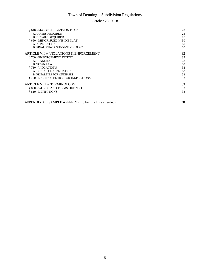| § 640 - MAJOR SUBDIVISION PLAT                             | 28 |
|------------------------------------------------------------|----|
| A. COPIES REQUIRED                                         | 28 |
| <b>B. DETAILS REQUIRED</b>                                 | 28 |
| § 650 - MINOR SUBDIVISION PLAT                             | 30 |
| A. APPLICATION                                             | 30 |
|                                                            |    |
| <b>B. FINAL MINOR SUBDIVISION PLAT</b>                     | 30 |
| ARTICLE VII $\dot{\approx}$ VIOLATIONS & ENFORCEMENT       | 32 |
| §700 - ENFORCEMENT INTENT                                  | 32 |
| A. STANDING                                                | 32 |
| <b>B. TOWN LAW</b>                                         | 32 |
| § 710 - VIOLATIONS                                         | 32 |
| A. DENIAL OF APPLICATIONS                                  | 32 |
| <b>B. PENALTIES FOR OFFENSES</b>                           | 32 |
| § 720 - RIGHT OF ENTRY FOR INSPECTIONS                     | 32 |
| ARTICLE VIII ☆ TERMINOLOGY                                 | 33 |
| § 800 - WORDS AND TERMS DEFINED                            | 33 |
| § 810 - DEFINITIONS                                        | 33 |
|                                                            |    |
| $APPENDIX A ~ SAMPLE APPENDIX$ (to be filled in as needed) | 38 |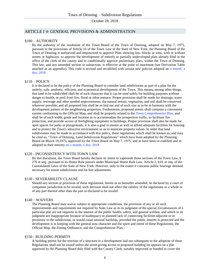#### ARTICLE I ☆ GENERAL PROVISIONS & ADMINISTRATION

#### §100 – AUTHORITY

By the authority of the resolution of the Town Board of the Town of Denning, adopted on May 7, 1975, pursuant to the provisions of Article 16 of the Town Law of the State of New York, the Planning Board of the Town of Denning is authorized and empowered to approve Plats showing lots, blocks or sites, with or without streets or highways, to approve the development of entirely or partially undeveloped plats already filed in the office of the clerk of the county and to conditionally approve preliminary plats, within the Town of Denning. This law, and any amended section or subsection, is effective at the point of enactment (see Derivation Table attached as an appendix). This code is revised and recodified with certain new policies adopted on  $x$  month,  $x$ day, 2018.

#### §110 – POLICY

It is declared to be the policy of the Planning Board to consider land subdivisions as part of a plan for the orderly, safe, aesthetic, efficient, and economical development of the Town. This means, among other things, that land to be subdivided shall be of such character that it can be used safely for building purposes without danger to health, or peril from fire, flood or other menace. Proper provision shall be made for drainage, water supply, sewerage and other needed improvements; the natural terrain, vegetation, and soil shall be conserved wherever possible; and all proposed lots shall be so laid out and of such size as to be in harmony with the development pattern of the neighboring properties. Furthermore, proposed streets shall compose a convenient system conforming to the Official Map, and shall be properly related to the Town Comprehensive Plan, and shall be of such width, grade and location as to accommodate the prospective traffic, to facilitate fire protection, and provide access of firefighting equipment to buildings. Proper provision shall also be made for open spaces for parks or playgrounds; it is also a goal to ensure as well as afford adequate facilities for housing and to protect the Town's attractive environment so as to maintain property values. In order that land subdivisions may be made in accordance with this policy, these regulations which shall be known as, and may be cited as, "Town of Denning, Land Subdivision Regulations" which have been adopted by the Planning Board on March 19,1975, approved by the Town Board on May 7, 1975, and as have been re-codified and readopted in their entirety on x month, x day, 2018.

#### §120 - INCONSISTENCY WITH TOWN LAW

By this document, the Town Board hereby declares its intent to supersede those sections of the Town Law, § 276 et seq., pursuant to its Home Rule powers under Municipal Home Rule Law, Article 2, §10, et seq. of the Consolidated Laws of the State of New York. However, only to the extent it concerns public hearings deemed necessary for minor subdivisions and lot line adjustments.

#### §130 - SEVERABILITY CLAUSE

Should any section or provision of these regulations, herein or as hereafter amended, be declared by a court of competent jurisdiction to be invalid, such decision shall not affect the validity of the regulations as a whole or of any part thereof other than the part so declared to be invalid.

#### §140 – WAIVERS

The Planning Board may waive, subject to appropriate conditions, the provision of any or all such improvements and requirements not required by State Law as in its judgment of the special circumstances of a particular plat are not requisite in the interest of the public health, safety, and general welfare, and which in its judgment are inappropriate because of inadequacy or planned lack of connecting facilities adjacent or in proximity to the subdivision, or would cause unusual hardship, provided the public interest is protected and the development is in keeping with the general area character and the spirit and intent of these Regulations, the Official Map, the Zoning Ordinance, and the Comprehensive Plan.

#### §150 - BUILDING PERMITS

A building permit for the erection of a structure in a development laid out subsequent to the adoption of these Regulations shall not be issued unless the street giving access to proposed building lot appears on a plat approved by the Planning Board duly filed with the County Clerk, suitably improved or bonded to cover the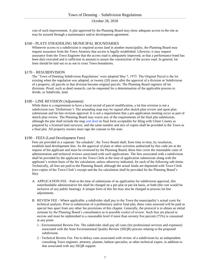cost of such improvement. A plat approved by the Planning Board may show adequate access to the site as may be assured through a maintenance and/or development agreement.

# §160 - PLATS STRADDLING MUNICIPAL BOUNDARIES

Whenever access to a subdivision is required across land in another municipality, the Planning Board may request assurance from the Town Attorney that access is legally established. Likewise, it may request assurance from the Town Engineer that the access road is adequately improved, or that a performance bond has been duly executed and is sufficient in amount to assure the construction of the access road. In general, lot lines should be laid out so as not to cross Town boundaries.

#### §170 – RESUBDIVISION

The 'Town of Denning Subdivision Regulations' were adopted May 7, 1975. The Original Parcel is the lot existing when the regulation was adopted, or twenty (20) years after the approval of a division or Subdivision of a property, all parcels in that division become original parcels. The Planning Board registers all lot divisions. Proof, such as deed research, can be requested for a determination of the applicable process to divide, or Subdivide, land.

#### §180 - LINE REVISION (Adjustment)

While there is a requirement to have a local record of parcel modification, a lot line revision is not a subdivision (see 'Definitions'). The amending map may be signed after sketch plan review and upon plan submission and lot line revision approval. It is not a requirement that a pre-application meeting occur as part of sketch plan review. The Planning Board may waive any of the requirements of the final plat submission, although the plat shall include the map and deed in final form acceptable for filing with Ulster County as prepared by a licensed land surveyor, and the same number and mix of copies shall be provided to the Town as a final plat. All property owners must sign the consent to file note.

#### §190 – FEES (Land Development Fees)

Fees are provided in a separate 'fee schedule'; the Town Board shall, from time to time, by resolution, establish land development fees. As the approval of plats or other activities authorized by this code are at the request of the applicant and must be reviewed by the Planning Board, these fees cover the reasonable costs of administration and technical reviews associated with such applications. The fees associated with a subdivision shall be provided by the applicant to the Town Clerk at the time of application submission along with the applicant's written basis of the fee calculation, unless otherwise indicated, for each of the following sub-items. Technically, all fees are paid to the Planning Board, although the actual funds are deposited with Town Clerk (two copies of the Town Clerk's receipt and the fee calculation shall be provided for the Planning Board's file):

- A. APPLICATION FEE Paid at the time of submission of an application for subdivision approval, this nonrefundable administrative fee shall be charged on a per-plat or per-lot basis, or both (the cost would be inclusive of any public hearing). A unique form of this fee may also be charged to process lot line adjustments.
- B. REVIEW FEE Where applicable, a subdivider shall pay to the Town the municipality's actual costs for technical analysis. Prior to submission of a preliminary and/or final plat, these costs assessed will be paid as special fees apart from any other fee provisions of this chapter. Generally, the protocol is to obtain an initial estimate by the Planning Board's consultant(s) as to possible cost(s) of review. Such fees are placed in escrow and must be replenished to a reasonable level if more than seventy five percent (75%) is consumed at any point:
	- 1 Environmental Review Fee. The subdivider shall pay all costs (for professional services and expenses) associated with the State Environmental Quality Review (SEQR) process relating to the proposed subdivision.
	- 2 Technical Review Fee. Fee to defray costs associated with review of a subdivision by an independent consulting Town engineer, attorney, planner, habitat specialist, or other technical expert, in addition to that associated with any SEQR support.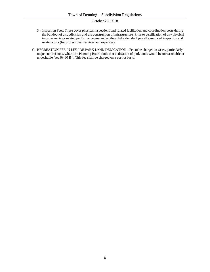- 3 Inspection Fees. These cover physical inspections and related facilitation and coordination costs during the buildout of a subdivision and the construction of infrastructure. Prior to certification of any physical improvements or related performance guaranties, the subdivider shall pay all associated inspection and related costs (for professional services and expenses).
- C. RECREATION FEE IN LIEU OF PARK LAND DEDICATION Fee to be charged in cases, particularly major subdivisions, where the Planning Board finds that dedication of park lands would be unreasonable or undesirable (see [§460 B]). This fee shall be charged on a per-lot basis.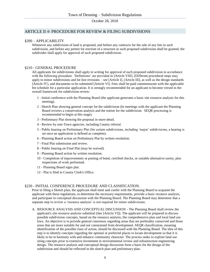# ARTICLE II ☆ PROCEDURE FOR REVIEW & FILING SUBDIVISIONS

## §200 – APPLICABILITY

Whenever any subdivision of land is proposed, and before any contracts for the sale of any lots in such subdivision, and before any permit for erection of a structure in such proposed subdivision shall be granted, the subdivider shall apply for approval of such proposed subdivision.

#### §210 - GENERAL PROCEDURE

All applicants for subdivisions shall apply in writing for approval of such proposed subdivision in accordance with the following procedure. 'Definitions' are provided in [Article VIII]. (Different procedural steps may apply to minor subdivisions and lot line revisions – see [Article I], [Article III], as well as the design standards [Article IV], and documents to be submitted [Article VI]. Fees shall be paid commensurate with the applicable fee schedule for a particular application. It is strongly recommended for an applicant to become versed in the overall framework for subdivision review:

- 1 Initial conference with the Planning Board (the applicant generates a basic site resource analysis for this meeting).
- 2 Sketch Plan showing general concept for the subdivision (In meetings with the applicant the Planning Board reviews a conservation analysis and the notion for the subdivision. SEQR processing is recommended to begin at this stage).
- 3 Preliminary Plat showing the proposal in more detail.
- 4 Review by non-Town agencies, including County referral.
- 5 Public hearing on Preliminary Plat (for certain subdivisions, including 'major' subdivisions, a hearing is set once an application is defined as complete).
- 6 Planning Board action on Preliminary Plat by written resolution.
- 7 Final Plat submission and review.
- 8 Public hearing on Final Plat (may be waived).
- 9 Planning Board action by written resolution.
- 10 Completion of improvements or posting of bond, certified checks, or suitable alternative surety, plus inspections of work performed.
- 11 Planning Board signs plat.
- 12 Plat is filed in County Clerk's Office.

#### §220 - INITIAL CONFERENCE PROCEDURE AND CLASSIFICATION.

Prior to filing a Sketch plan, the applicant shall meet and confer with the Planning Board to acquaint the applicant with these regulations, to determine the necessary requirements, provide a basic resource analysis, and participate in conceptual discussion with the Planning Board. The Planning Board may determine that a separate step to review a 'resource analysis' is not required for minor subdivisions.

A. RESOURCE ANALYSIS AND CONCEPTUAL DISCUSSION - The Planning Board shall review the applicant's site resource analysis submittal (See [Article VI]). The applicant will be prepared to discuss possible subdivision concepts, based on the resource analysis, the comprehensive plan and local land use laws. An objective is to provide general consensus regarding areas that are preferably conserved and those areas that are more suitable for and not constrained from development. SEQR classification, meaning identification of the possible class of action, should be discussed with the Planning Board. The idea of this step is to identify concepts regarding the optimal or preferred places to locate development so that it is likely to be in harmony with and enhance community character. The process seeks to explore land use siting concepts prior to extensive investment in environmental review and infrastructure engineering design. The resource analysis and conceptual design discussion form a basis for the design of the subdivision and should be reflected in the sketch plan and preliminary plan.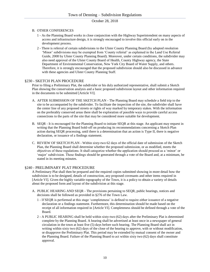#### B. OTHER CONFERENCES

- 1 As the Planning Board works in close conjunction with the Highway Superintendent on many aspects of access and infrastructure design, it is strongly encouraged to involve this official early on in the development process.
- 2 There is referral of certain subdivisions to the Ulster County Planning Board (by adopted resolution 'Minor' subdivisions may be exempted from 'County referral' as explained in the Land Use Referral Guide, 2008 by Ulster County Planning Board). Moreover, under certain conditions, the subdivider may also need approval of the Ulster County Board of Health, County Highway agency, the State Department of Environmental Conservation, New York City Board of Water Supply, and others. Therefore, it is strongly encouraged that the proposed subdivision should also be discussed in advance with these agencies and Ulster County Planning Staff.

## §230 - SKETCH PLAN PROCEDURE

Prior to filing a Preliminary Plat, the subdivider or his duly authorized representative, shall submit a Sketch Plan showing the conservation analysis and a basic proposed subdivision layout and other information required in the documents to be submitted [Article VI].

- A. AFTER SUBMISSION OF THE SKETCH PLAN The Planning Board may schedule a field trip to the site to be accompanied by the subdivider. To facilitate the inspection of the site, the subdivider shall have the center line of any proposed streets or rights of way marked by temporary stakes. With the information on the preferably conserved areas there shall be exploration of possible ways to provide careful access connections to the parts of the site that may be considered more suitable for development.
- B. SEQR It is encouraged for the Planning Board to initiate SEQR at this stage. An applicant may request in writing that the Planning Board hold-off on producing its recommendations concerning a Sketch Plan action during SEQR processing, until there is a determination that an action is Type II, there is negative declaration, or issuance of a findings statement.
- C. REVIEW OF SKETCH PLAN Within sixty-two 62 days of the official date of submission of the Sketch Plan, the Planning Board shall determine whether the proposed submission, or as modified, meets the objectives of these regulations. It shall categorize whether the application should proceed as a 'minor' or 'major' subdivision. These findings should be generated through a vote of the Board and, at a minimum, be stated in its meeting minutes.

#### §240 - PRELIMINARY PLAT PROCEDURE

A Preliminary Plat shall then be prepared and the required copies submitted showing in more detail how the subdivision is to be designed, details of construction, any proposed covenants and other items required in [Article VI]. Given the highly variable topography of the Town, it is a policy to obtain a variety of details about the proposed form and layout of the subdivision at this stage.

- A. PUBLIC HEARING AND SEQR The provisions pertaining to SEQR, public hearings, notices and decisions shall be followed as provided in §276 of the Town Law.
	- 1 If SEQR is performed at this stage 'completeness' is defined to require either issuance of a negative declaration or a findings statement. Furthermore, this determination should be made based on the receipt of all information required in [Article VI]. Completeness should be defined through a vote of the Board.
	- 2 A PUBLIC HEARING shall be held within sixty-two (62) days after the Preliminary Plat is determined complete by the Planning Board. A hearing shall be advertised at least once in a newspaper of general circulation in the town at least five (5) days before such hearing. The Planning Board shall act in writing within sixty two (62) days of the close of the hearing to approve, with or without modification, or disapprove the Preliminary Plat. This period may be extended by mutual consent of the owner and the Planning Board. Failure of the Planning Board to act within sixty two (62) days shall constitute approval.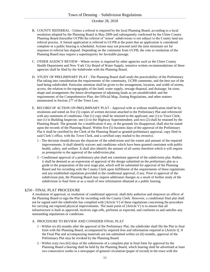- B. COUNTY REFERRAL Unless a referral is required by the local Planning Board, according to a local resolution adopted by the Planning Board in May 2009 and subsequently confirmed by the Ulster County Planning Board (hereafter UCPB) the referral of 'minor' subdivisions is not subject to the County land use referral process. A formal application is referred to UCPB at the point that an application is considered complete or a public hearing is scheduled. Actions may not proceed until the time minimum set for response to referral has elapsed. Depending on the comments from UCPB, the vote or resolution of the Planning Board may require a supermajority for favorable passage.
- C. OTHER AGENCY REVIEW Where review is required by other agencies such as the Ulster County Health Department and New York City Board of Water Supply, tentative written recommendations of these agencies shall be filed by the Subdivider with the Planning Board.
- D. STUDY OF PRELIMINARY PLAT The Planning Board shall study the practicability of the Preliminary Plat taking into consideration the requirements of the community, UCPB comments, and the best use of the land being subdivided. Particular attention shall be given to the arrangement, location, and width of streets, access, the relation to the topography of the land; water supply, sewage disposal, and drainage; lot sizes; shape and arrangement; the future development of adjoining lands as yet unsubdivided; and the requirements of the Comprehensive Plan, the Official Map, Zoning Regulations, and other matters enumerated in Section 277 of the Town Law.
- E. RECORD OF ACTION ON PRELIMINARY PLAT Approval with or without modification shall be by resolution and noted on five (5) copies of written decision attached to the Preliminary Plat and referenced with any statement of conditions. One (1) copy shall be returned to the applicant; one (1) to Town Clerk; one (1) to Building Inspector; one (1) to the Highway Superintendent; and two (2) shall be retained by the Planning Board. The grounds for a modification if any, or the grounds for disapproval, shall also be stated upon the records of the Planning Board. Within five (5) business days of the approval of the Preliminary Plat it shall be certified by the Clerk of the Planning Board as granted preliminary approval, copy filed in said Clerk's office, with the Town Clerk, and a certified copy mailed to the owner(s).
	- 1 The decision should discuss the character of the subdivision and the extent and amount of the required improvements. It shall identify waivers and conditions which have been granted consistent with public health, safety, and welfare. It shall also identify the amount of all surety therefore which it will require as prerequisite to the approval of the subdivision plat.
	- 2 Conditional approval of a preliminary plat shall not constitute approval of the subdivision plat. Rather, it shall be deemed as an expression of approval of the design submitted on the preliminary plat as a guide to the preparation of the next stage plat, which will be submitted for approval of the Planning Board and for recording with the County Clerk upon fulfillment of the requirements of these regulations and any established stipulation provided in the conditional approval, if any. Prior to approval of the subdivision plat, the Planning Board may require additional changes as a result of further study of the subdivision in final form or as a result of new information obtained at a public hearing.

#### §250 - FINAL PLAT PROCEDURE

A resolution of approval, or resolution of conditional approval, shall duly authorize and empower an officer of the Planning Board to sign the Plat for recording with the County Clerk. However, a conditional final plat shall not be signed until the subdivider has complied with [Article V] of these regulations concerning the procedure for carrying out required physical improvements. The main point of [Article V] is to ensure that all infrastructure is built as approved, receives sign-offs, performs as expected, and conforms to and satisfies any outstanding stipulations or conditions.

#### A. PROCEDURE TO REVIEW AND CONSIDER FINAL PLAT

- 1 Within six (6) months after the approval of the Preliminary Plat, the subdivider shall file the Plat in final form with the Planning Board, accompanied by required fees and information required in [Article I]. If the Final Plat and accompanying materials are not submitted within six (6) months, approval of the Preliminary Plat may be revoked by the Planning Board.
- 2 Within sixty two (62) days of the submission of a complete plat in final form for approval by the Planning Board a hearing shall be held by the Planning Board, which hearing shall be advertised at least two consecutive weeks in a newspaper of general circulation (paper of record) in the town with the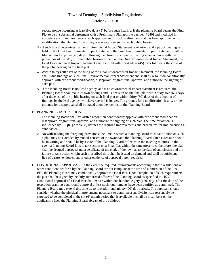second notice occurring at least five days (5) before such hearing. If the planning board deems the Final Plat to be in substantial agreement with a Preliminary Plat approved under [§240] and modified in accordance with requirements of such approval and if such Preliminary Plat has been approved with modification, the Planning Board may waive requirement for such public hearing.

- 3 If such board determines that an Environmental Impact Statement is required, and a public hearing is held on the Draft Environmental Impact Statement, the Final Environmental Impact Statement shall be filed within forty-five (45) days following the close of such public hearing in accordance with the provisions of the SEQR. If no public hearing is held on the Draft Environmental Impact Statement, the Final Environmental Impact Statement shall be filed within forty-five (45) days following the close of the public hearing on the final plat.
- 4 Within thirty (30) days of the filing of the Final Environmental Impact Statement, the Planning Board shall issue findings on such Final Environmental Impact Statement and shall by resolution conditionally approve, with or without modification, disapprove, or grant final approval and authorize the signing of such plat.
- 5 If the Planning Board is not lead agency, and if an environmental impact statement is required, the Planning Board shall make its own findings and its decision on the final plat within sixty-two (62) days after the close of the public hearing on such final plat or within thirty (30) days of the adoption of findings by the lead agency, whichever period is longer. The grounds for a modification, if any, or the grounds for disapproval shall be stated upon the records of the Planning Board.

## B. PLANNING BOARD ACTION

- 1 The Planning Board shall by written resolution conditionally approve with or without modification, disapprove, or grant final approval and authorize the signing of such plat. The time for action is influenced by SEQR. [Article V] defines the required improvements and procedures for implementing a subdivision.
- 2 Notwithstanding the foregoing provisions, the time in which a Planning Board must take action on such a plat, may be extended by mutual consent of the owner and the Planning Board. Such extension should be in writing and should be by a vote of the Planning Board reflected in the meeting minutes. In the event a Planning Board fails to take action on a Final Plat within the time prescribed therefore, the plat shall be deemed approved and a certificate of the clerk of the town as to the date of submission and the failure to take action within such prescribed time shall be issued on demand and shall be sufficient in lieu of written endorsement or other evidence of approval herein required.
- C. CONDITIONAL APPROVAL In the event the required improvements according to these regulations or other conditions set forth by the Planning Board are not complete at the time of submission of the Final Plat, the Planning Board may conditionally approve the Final Plat. Upon completion of such requirements the plat shall be signed by the duly authorized officer of the Planning Board as specified in [§530]. Conditional approval of a Final Plat shall expire within one hundred eighty (180) days after the date of the resolution granting conditional approval unless such requirements have been certified as completed. The Planning Board may extend this time up to two additional ninety (90) day periods. The applicant should consider whether the physical improvements necessary to complete a subdivision can reasonably be expected to be completed in the six (6) month period that is available. It shall be incumbent on the applicant to keep the Planning Board abreast of the buildout.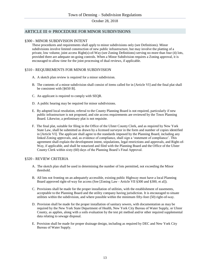# ARTICLE III ☆ PROCEDURE FOR MINOR SUBDIVISIONS

#### §300 - MINOR SUBDIVISION INTENT

These procedures and requirements shall apply to minor subdivisions only (see Definitions). Minor subdivisions involve limited construction of new public infrastructure, but may involve the platting of a private, low volume, joint access Right(s)-of-Way (see Zoning Definitions) serving no more than four (4) lots, provided there are adequate on-going controls. When a Minor Subdivision requires a Zoning approval, it is encouraged to allow time for the joint processing of dual reviews, if applicable.

## §310 - REQUIREMENTS FOR MINOR SUBDIVISION

- A. A sketch plan review is required for a minor subdivision.
- B. The contents of a minor subdivision shall consist of items called for in [Article VI] and the final plat shall be consistent with [§650 B].
- C. An applicant is required to comply with SEQR.
- D. A public hearing may be required for minor subdivisions.
- E. By adopted local resolution, referral to the County Planning Board is not required, particularly if new public infrastructure is not proposed, and site access requirements are reviewed by the Town Planning Board. Likewise, a preliminary plat is not requisite.
- F. The final plat, suitable for filing in the Office of the Ulster County Clerk, and as required by New York State Law, shall be submitted as drawn by a licensed surveyor in the form and number of copies identified in [Article VI]. The applicant shall agree to the standards imposed by the Planning Board, including any linked Zoning approvals, and, as evidence of compliance, shall sign a 'statement of compliance'. This agreement shall explain the development intent, stipulations, legal restrictions and approvals, and Right-of-Way, if applicable, and shall be notarized and filed with the Planning Board and the Office of the Ulster County Clerk within sixty (60) days of the Planning Board's Final Approval.

#### §320 - REVIEW CRITERIA

- A. The sketch plan shall be used in determining the number of lots permitted, not exceeding the Minor threshold.
- B. All lots not fronting on an adequately accessible, existing public Highway must have a local Planning Board approved right-of-way for access (See [Zoning Law - Article VII §300 and §300, et al]).
- C. Provisions shall be made for the proper installation of utilities, with the establishment of easements, acceptable to the Planning Board and the utility company having jurisdiction. It is encouraged to situate utilities within the subdivision, and where possible within the minimum fifty-foot (50) right-of-way.
- D. Provision shall be made for the proper installation of sanitary sewers, with documentation as may be required by the New York State Department of Health, New York City Bureau of Water Supply, or Ulster County, as applies, along with a soils evaluation by the test pit method and/or other required supplemental data relating to sewage disposal.
- E. Provision shall be made for proper drainage design, including as required by DEC and New York City Bureau of Water Supply.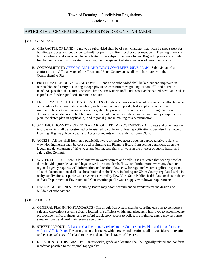# ARTICLE IV ☆ GENERAL REQUIREMENTS & DESIGN STANDARDS

#### §400 - GENERAL

- A. CHARACTER OF LAND Land to be subdivided shall be of such character that it can be used safely for building purposes without danger to health or peril from fire, flood or other menace. In Denning there is a high incidence of slopes which have potential to be subject to erosive forces. Rugged topography provides for channelization of stormwater; therefore, the management of stormwater is of paramount concern.
- B. CONFORMITY TO OFFICIAL MAP AND TOWN COMPREHENSIVE PLAN Subdivisions shall conform to the Official Maps of the Town and Ulster County and shall be in harmony with the Comprehensive Plan.
- C. PRESERVATION OF NATURAL COVER Land to be subdivided shall be laid out and improved in reasonable conformity to existing topography in order to minimize grading, cut and fill, and to retain, insofar as possible, the natural contours, limit storm water runoff, and conserve the natural cover and soil. It is preferred for disrupted soils to remain on-site.
- D. PRESERVATION OF EXISTING FEATURES Existing features which would enhance the attractiveness of the site or the community as a whole, such as watercourses, ponds, historic places and similar irreplaceable assets, and in some cases trees, shall be preserved insofar as possible through harmonious design of the subdivision. The Planning Board should consider quidance in the community comprehensive plan, the sketch plan (if applicable), and regional plans in making this determination.
- E. SPECIFICATIONS FOR STREETS AND REQUIRED IMPROVEMENTS All streets and other required improvements shall be constructed or in¬stalled to conform to Town specifications. See also The Town of Denning 'Highway, New Road, and Access Standards on file with the Town Clerk.
- F. ACCESS All lots shall front on a public Highway, or receive access over an approved private right-ofway. Nothing herein shall be construed as limiting the Planning Board from setting conditions upon the layout and development of driveways and joint access rights of ways in the interest of public health and safety (See Zoning).
- G. WATER SUPPLY There is local interest in water sources and wells. It is requested that for any new lot the subdivider provide data and logs on well location, depth, flow, etc. Furthermore, when any State or regional agency requires well information, on location, flow, etc., for regulated water supplies or systems, all such documentation shall also be submitted to the Town, including for Ulster County-regulated wells in realty subdivisions, or pubic water systems covered by New York State Public Health Law, or those subject to State Department of Environmental Conservation public water supply withdrawal requirements.
- H. DESIGN GUIDELINES the Planning Board may adopt recommended standards for the design and buildout of subdivisions.

#### §410 - STREETS

- A. GENERAL PLANNING STANDARDS The circulation system shall be coordinated so as to compose a safe and convenient system, suitably located, of sufficient width, and adequately improved to accommodate prospective traffic, drainage, and to afford satisfactory access to police, fire fighting, emergency response, snow removal, and road maintenance equipment.
- B. STREET LAYOUT All streets shall be properly related to the Comprehensive Plan and in conformance with the Official Map. The arrangement, character, width, grade and location shall be considered in relation to the proposed uses of the land to be served and the character of the area.
- C. RELATION TO TOPOGRAPHY Streets width, grade and location shall be logically related and conform insofar as possible to the original topography.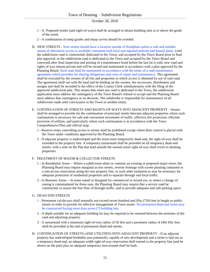- 1 A. Proposed streets (and right-of-ways) shall be arranged to obtain building sites at or above the grade of the street.
- 2 A combination of steep grades and sharp curves should be avoided.
- D. NEW STREETS New streets should have a location outside of floodplain unless a safe and suitable means of alternative access is available consistent with local and regional policies and hazard plans. Until the subdivision road is constructed, dedicated to the Town, and accepted by the Town Board prior to final plat approval; or the subdivision road is dedicated to the Town and accepted by the Town Board and conveyed after final inspection and posting of a maintenance bond before the last lot is sold, new road and rights of way remain private and will be owned and maintained in accordance with a plan approved by the Planning Board. Such road shall be maintained in accordance with the terms of a road maintenance agreement which provides for sharing obligations and costs of repair and maintenance. This agreement shall be executed by the owners of all lots and properties to which access is obtained by use of said road. The agreement shall run with the land and be binding on the owners, the successors, distributees and assigns and shall be recorded in the office of the County Clerk simultaneously with the filing of the approved subdivision plat. This means that when any road is dedicated to the Town, the subdivision application must address the contingency of the Town Board's refusal to accept and the Planning Board must address that contingency in its decision. The subdivider is responsible for maintenance of all subdivision roads until conveyance to the Town or another entity.
- E. CONTINUATION OF STREETS AND RIGHTS-OF-WAYS INTO ADJACENT PROPERTY Streets shall be arranged to provide for the continuation of principal streets between adjacent properties where such continuation is necessary for safe and convenient movement of traffic, effective fire protection, efficient provision of utilities, and particularly where such continuation is in accordance with the Town Comprehensive Plan and official map.
	- 1 Reserve strips controlling access to streets shall be prohibited except where their control is placed with the Town under conditions approved by the Planning Board.
	- 2 If adjacent property is undeveloped and the street must temporarily dead-end, the right-of-way shall be extended to the property line. A temporary turnaround shall be provided on all temporary dead-end streets, with a note on the Plat that land outside the normal street right-of-way shall revert to abutting properties.

#### F. TREATMENT OF MAJOR & COLLECTOR STREETS

- 1 In Residential Areas -- Where a subdivision abuts or contains an existing or proposed major street, the Planning Board may require marginal access streets, reverse frontage with screen planting contained in a non-access reservation along the rear property line, or such other treatment as may be necessary for adequate protection of residential properties and to separate through and local traffic.
- 2 In Business Areas -- In areas zoned or designed for commercial or mixed use, or where a change of zoning is contemplated for these uses, the Planning Board may require that a service road be constructed, to assure the free flow of through traffic, and to provide adequate and safe parking space.

#### G. DEAD END STREETS

- 1 Permanent cul-de-sacs shall normally not exceed seven hundred and fifty (750) feet in length as public streets in order to provide for effective management of Town assets. No permanent dead-end street may be constructed having more than seven (7) building lots.
- 2 A depth suitable for an adequate building lot may be required to be retained between the terminus of the road and adjoining property.
- 3 A turnaround with a minimum right-of-way radius of 50 feet and a pavement radius of (40) fifty feet, shall be provided at the end of permanent dead-end streets.
- H. CONTINUATION OF STREETS (AND UTILITIES) INTO ADJACENT PROPERTY If an adjacent property has undeveloped buildable area potentially capable of new development and a street is laid out as a temporary dead-end, an adequate width right-of-way reservation shall extend to the property line (and be shown on the plat) plus an adequate temporary turn-around shall be built.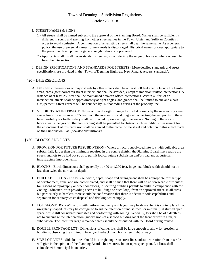#### I. STREET NAMES & SIGNS

- 1 All streets shall be named subject to the approval of the Planning Board. Names shall be sufficiently different in sound and spelling from other street names in the Town, Ulster and Sullivan Counties in order to avoid confusion. A continuation of an existing street shall bear the same name. As a general policy, the use of personal names for new roads is discouraged. Historical names or ones appropriate to the particular development or general neighborhood are preferred.
- 2 Applicants shall install Town standard street signs that identify the range of house numbers accessible from the intersection.
- J. DESIGN SPECIFICATIONS AND STANDARDS FOR STREETS More detailed standards and street specifications are provided in the 'Town of Denning Highway, New Road & Access Standards'.

## §420 – INTERSECTIONS

- A. DESIGN Intersections of major streets by other streets shall be at least 800 feet apart. Outside the hamlet areas, cross (four-cornered) street intersections shall be avoided, except at important traffic intersections. A distance of at least 250 feet shall be maintained between offset intersections. Within 40 feet of an intersection, streets shall be approximately at right angles, and grades shall be limited to one and a half (1½) percent. Street corners will be rounded by 25-foot radius curves at the property line.
- B. VISIBILITY AT INTERSECTIONS Within the sight triangle formed at corners by the intersecting street center lines, for a distance of 75 feet from the intersection and diagonal connecting the end points of these lines, visibility for traffic safety shall be provided by excavating, if necessary. Nothing in the way of fences, walls, hedges or other landscaping shall be permitted to obstruct such visibility. An easement for the enforcement of this provision shall be granted to the owner of the street and notation to this effect made on the Subdivision Plat. (See also 'definitions').

# §430 - BLOCKS AND LOTS

- A. PROVISION FOR FUTURE RESUBDIVISION Where a tract is subdivided into lots with buildable area substantially larger than the minimum required in the zoning district, the Planning Board may require the streets and lots to be laid out so as to permit logical future subdivision and/or road and appurtenant infrastructure improvements.
- B. BLOCKS Block dimensions shall generally be 400 to 1,200 feet. In general block width should not be less than twice the normal lot depth.
- C. BUILDABLE LOTS The lot size, width, depth, shape and arrangement shall be appropriate for the type of development, zone, and use contemplated, and shall be such that there will be no foreseeable difficulties, for reasons of topography or other conditions, in securing building permits to build in compliance with the Zoning Ordinance, or in providing access to buildings on such lot(s) from an approved street. In all areas, but particularly in hamlets, there should be confirmation that there is adequate soils capabilities and separation for sanitary waste disposal and drinking water supply.
- D. LOT GEOMETRY While lots with uniform geometry and layout may be desirable, it is contemplated that irregularly shaped lots may be configured to aid the retention of undisturbed, or minimally disturbed open space, while still considered buildable and conforming with zoning. Generally, lots shall be of a depth as not to encourage the later creation (subdivision) of a second building lot at the front or rear in a major subdivision. The intent for large remainder areas should be discussed with the Board during review.
- E. DOUBLE FRONTAGE LOT Dimensions of corner lots shall be large enough to allow for erection of buildings, observing the minimum front yard setback from both street right of ways.
- F. SIDE LOT LINES Side lot lines should be at right angles to street lines unless a variation from this rule will give in the opinion of the Planning Board a better street, lot, or open space plan. Lot lines shall coincide with municipal boundaries.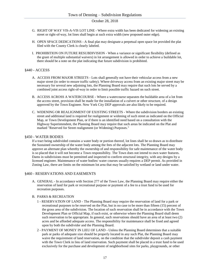- G. RIGHT OF WAY VIS-A-VIS LOT LINE Where extra width has been dedicated for widening an existing street or right-of-way, lot lines shall begin at such extra width (new proposed outer edge).
- H. OPEN SPACE DEDICATIONS A final plat may designate a perpetual open space lot provided the plat filed with the County Clerk is clearly labeled.
- I. PROHIBITION ON FUTURE RESUBDIVISION When a variance or significant flexibility (defined as the grant of multiple substantial waivers) in lot arrangement is allowed in order to achieve a buildable lot, there should be a note on the plat indicating that future subdivision is prohibited.

#### §440 - ACCESS

- A. ACCESS FROM MAJOR STREETS Lots shall generally not have their vehicular access from a new major street (in order to ensure traffic safety). Where driveway access from an existing major street may be necessary for several new adjoining lots, the Planning Board may require that such lots be served by a combined joint access right-of-way in order to limit possible traffic hazard on such street.
- B. ACCESS ACROSS A WATERCOURSE Where a watercourse separates the buildable area of a lot from the access street, provision shall be made for the installation of a culvert or other structure, of a design approved by the Town Engineer. New York City DEP approvals are also likely to be required.
- C. WIDENING OR REALIGNMENT OF EXISTING STREETS Where the subdivision borders an existing street and additional land is required for realignment or widening of such street as indicated on the Official Map, or Town Development Plan, or if there is an identified need based on a consultation with the Highway Superintendent, the Planning Board may require that such areas be indicated on the Plat and marked "Reserved for Street realignment (or Widening) Purposes."

#### §450 - WATER BODIES

If a tract being subdivided contains a water body or portion thereof, lot lines shall be so drawn as to distribute the Sustained ownership of the water body among the fees of the adjacent lots. The Planning Board may approve an alternate plan whereby the ownership of and responsibility for safe maintenance of the water body is so placed that it will not become a Town responsibility. The Town does not intend to own water features. Dams in subdivisions must be permitted and inspected to confirm structural integrity, with any designs by a licensed engineer. Maintenance of water bodies/ water courses usually requires a DEP permit. As provided in Zoning Law, there are limits on the minimum lot area that may be satisfied by wetland or land under water.

#### §460 - RESERVATIONS AND EASEMENTS

A. GENERAL - In accordance with Section 277 of the Town Law, the Planning Board may require either the reservation of land for park or recreational purpose or payment of a fee to a trust fund to be used for recreation purposes.

#### B. PARKS & RECREATION

- 1 RESERVATION OF LAND The Planning Board may require the reservation of land for a park or recreational purposes to be reserved on the Plat, but in no case to be more than fifteen (15) percent of the gross area of the subdivision. The location of such reservation shall be in accordance with the Town Development Plan or Official Map, if such exist, or otherwise where the Planning Board shall deem such reservation to be appropriate. In general, such reservations should have an area of at least two (2) acres and be afforded adequate access. The responsibility for maintenance shall be fixed and agreed upon by both the subdivider and the Planning Board.
- 2 PAYMENT OF MONEY IN LIEU OF LAND Unless the Planning Board determines that a suitable park or parks of adequate size should be properly located in any such Plat, the Planning Board may waive the requirement of land reservation, on the condition that the subdivider deposit a cash payment with the Town Clerk in lieu of land reservation. Such payment shall be placed in a trust fund to be used exclusively for the purchase and development of neighborhood sites for parks, playgrounds, or other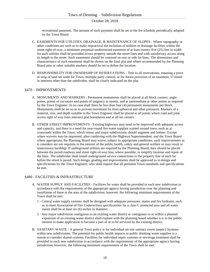recreational purposes. The amount of such payment shall be set in the fee schedule periodically adopted by the Town Board.

- C. EASEMENTS FOR UTILITIES, DRAINAGE, & MAINTENANCE OF SLOPES Where topography or other conditions are such as to make impractical the inclusion of utilities or drainage facilities within the street right-of-way, a minimum perpetual unobstructed easement of at least twenty-five (25) feet in width for such utilities shall be provided across property outside the street lines and with satisfactory access along its length to the street. Such easements should be centered on rear or side lot lines. The dimensions and characteristics of such easements shall be shown on the final plat and where recommended by the Planning Board pins or other suitable markers should be set to define the location.
- D. RESPONSIBILITY FOR OWNERSHIP OF RESERVATIONS Title to all reservations, meaning a piece or strip of land set aside for Town, multiple party control, or for future provision of an easement, if vested in interests other than the subdivider, shall be clearly indicated on the plat.

#### §470 – IMPROVEMENTS

- A. MONUMENTS AND MARKERS Permanent monuments shall be placed at all block corners, angle points, points of curvature and points of tangency in streets, and at intermediate or other points as required by the Town Engineer. In no case shall there be less than four (4) permanent monuments per block. Monuments shall be set so as to prevent movement by frost upheaval and other pressures. Markers of a material, size, and depth suitable to the Town Engineer shall be placed at all points where road and joint access right of way lines intersect plat boundaries and at all lot corners.
- B. OTHER STREET IMPROVEMENTS Existing highways may need to be improved with adequate access and capacity, and there is a need for year-round fire water supplies scatted around town, such as at crossroads within the Town, which minor and major subdivisions should augment and bolster. Except where waivers may be requested, after conferring with the Highway Superintendent, and the Town Board where appropriate, the Planning Board may waive, subject to appropriate conditions, such improvements as it considers are not requisite in the interest of the public health, safety and general welfare or may result in unnecessary hardship. If underground utilities are required by the Planning Board, they should be placed between the paved roadway and street right-of-way line, where possible, to simplify location and repair of the lines. The subdivider shall install underground service connections to the property line of each lot before the street is paved. Such design, grading and improvements shall be approved as to design and specifications by the Town Engineer, who shall require that all pertinent Town standards and specifications be met.

#### §480 - FACILITIES & INFRASTRUCTURE

- A. WATER SUPPLY AND FACILITIES Facilities for water shall be provided in each new subdivision in accordance with the requirements of the appropriate agency having jurisdiction over the planning and installation of these in the area of the subdivision; however, the following minimum requirements of the Town shall be met:
	- 1 Central water supply systems shall be designed with adequate pressures, mains and fire hydrants, such as to meet Association of Fire Underwriters specifications for a class C protected area and all water mains shall be at least six (6) inches in diameter.
	- 2 Any major subdivision contiguous to an existing water district or contiguous to or within a planned expansion of an existing water district shall explore with the planning board whether it is in the public interest to make application to become a part of or to be serviced by the existing district.
- B. SANITARY WASTE A general Town policy is for individual on-site sanitary sewer (septic) Systems within new subdivisions. The potential for public health impacts to public drinking water supplies is a reason to consider shared systems. Facilities for individual septic systems or sewerage treatment shall be provided in each new subdivision in accordance with the requirements of the appropriate agency having jurisdiction; however, the following minimum requirements of the Town shall be met: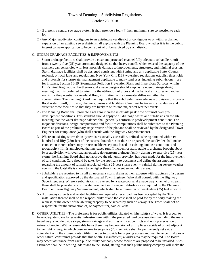- 1 If there is a central sewerage system it shall provide a four (4) inch minimum size connection to each lot.
- 2 Any Major subdivision contiguous to an existing sewer district or contiguous to or within a planned expansion of an existing sewer district shall explore with the Planning Board whether it is in the public interest to make application to become part of or be serviced by such district.

#### C. STORM DRAINAGE FACILITIES & IMPROVEMENTS

- 1 Storm drainage facilities shall provide a clear and protected channel fully adequate to handle runoff from a twenty-five (25) year storm and designed so that heavy runoffs which exceed the capacity of the channels can be handled with least possible damage to improvements, structures, and minimal erosion. Storm drainage facilities shall be designed consistent with Zoning and any applicable State, County, regional, or local laws and regulations. New York City DEP watershed regulations establish thresholds and protocols for stormwater management applicable to many land uses, including subdivisions – see for instance, Section 18-39 'Stormwater Pollution Prevention Plans and Impervious Surfaces' within DEP's Final Regulations. Furthermore, drainage designs should emphasize open drainage design meaning that it is preferred to minimize the utilization of pipes and mechanical structures and rather maximize the potential for overland flow, infiltration, and stormwater diffusion rather than concentration. The Planning Board may require that the subdivider make adequate provision of storm or flood water runoff, diffusion, channels, basins and facilities. Care must be taken to size, design and structure these facilities so that they are likely to withstand major wet weather events.
- 2 The Planning Board shall promote a net zero increase in off-site peak flow of runoff over predevelopment conditions. This standard should apply to all drainage basins and sub-basins on the site, meaning that the water drainage balance shall generally conform to predevelopment conditions. For major subdivisions, design computations and facilities computations shall be submitted to the Planning Board as part of the preliminary stage review of the plat and shall be reviewed by the designated Town Engineer for compliance (who shall consult with the Highway Superintendent).
- 3 Where an existing storm drain system is reasonably accessible, defined as being situated within two hundred and fifty (250) feet of the external boundaries of the site or parcel, the subdivider shall make connection thereto (there may be reasonable exceptions based on existing land use conditions and topography). If it is anticipated that increased runoff incident or attributable to a change brought about by a subdivision will overload an existing downstream drainage facility during a twenty-five (25) year storm, the Planning Board shall not approve the plat until provision has been made for the improvement of said condition. Care should be taken by the applicant to document and define the assumptions regarding the amount of rainfall associated with a 25-year storm event -- rainfall during severe weather events in the Catskills is shown to be higher than in adjacent surrounding areas.
- 4 Subdividers are required to install all necessary storm drains at their expense with structures of a design and specification approved by the designated Town Engineer (who shall consult with the Highway Superintendent). Where a subdivision is traversed by a watercourse, drainage way, channel or stream, there shall be provided a storm water easement or drainage right-of-way as required by the Planning Board or Town Highway Superintendent, which shall be a minimum of twenty-five (25) feet in width.
- 5 If driveway culverts and related facilities are required after a road has been accepted by the Town, installation thereof shall be the responsibility of and the cost shall be paid for by the party making the request, or the owner of the abutting property to be served by such driveway. The Town shall not be responsible for the installation of, or payment for, said culverts.
- D. OTHER UTILITIES The preference is for public utilities situated within right(s) of ways. It is a goal to have adequate space for essential infrastructure within the preferred road cross-section, including the main travel way, shoulder, side slope, storm drainage and utilities without conflicts and with preservation of natural character. With a reasonable basis there may be provision of utility lines outside of or not adjacent to the right of way, in which case an area twenty-five (25) feet wide shall be permanently set aside coincident with the cross-county utility in order to provide for ongoing access and maintenance. If slopes or other natural constraints provide that this width is insufficient, a wider area may be required. The Board may accept assurance from each public utility company whose facilities are proposed to be installed. Such assurance shall be in writing, addressed to the Board, stating that such public utility company will make the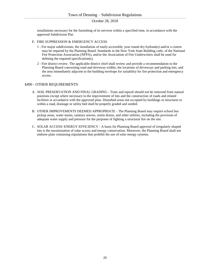installations necessary for the furnishing of its services within a specified time, in accordance with the approved Subdivision Plat.

- E. FIRE SUPPRESSION & EMERGENCY ACCESS
	- 1 For major subdivisions, the installation of easily accessible, year-round dry hydrant(s) and/or a cistern may be required by the Planning Board. Standards in the New York State Building code, of the National Fire Protection Association (NFPA), and/or the Association of Fire Underwriters shall be used for defining the required specification(s).
	- 2 Fire district review. The applicable district chief shall review and provide a recommendation to the Planning Board concerning road and driveway widths, the locations of driveways and parking lots, and the area immediately adjacent to the building envelope for suitability for fire protection and emergency access.

#### §490 - OTHER REQUIREMENTS

- A. SOIL PRESERVATION AND FINAL GRADING Trees and topsoil should not be removed from natural positions except where necessary to the improvement of lots and the construction of roads and related facilities in accordance with the approved plan. Disturbed areas not occupied by buildings or structures or within a road, drainage or utility bed shall be properly graded and seeded.
- B. OTHER IMPROVEMENTS DEEMED APPROPRIATE The Planning Board may require school bus pickup areas, water mains, sanitary sewers, storm drains, and other utilities, including the provision of adequate water supply and pressure for the purposes of fighting a structural fire on the site.
- C. SOLAR ACCESS/ ENERGY EFFICIENCY A basis for Planning Board approval of irregularly shaped lots is the maximization of solar access and energy conservation. Moreover, the Planning Board shall not endorse plats containing stipulations that prohibit the use of solar energy systems.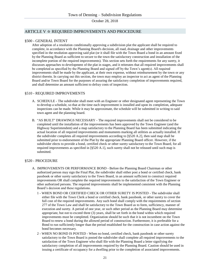# ARTICLE V ☆ REQUIRED IMPROVEMENTS AND PROCEDURE

## §500 - GENERAL INTENT

After adoption of a resolution conditionally approving a subdivision plat the applicant shall be required to complete, in accordance with the Planning Board's decision, all road, drainage and other improvements specified in the resolution approving said plat (or it shall file with the Town Board a bond in an amount fixed by the Planning Board as sufficient to secure to the town the satisfactory construction and installation of the incomplete portion of the required improvements). This section sets forth the requirements for any surety, it discusses approaches to development of the plat in stages, and it reiterates that all required improvements shall be completed as specified by the Planning Board and signed off by the Town's agent(s). All required improvements shall be made by the applicant, at their own expense, without reimbursement by the town or any district therein. In carrying out this section, the town may employ an inspector to act as agent of the Planning Board and/or Town Board for the purposes of assuring the satisfactory completion of improvements required, and shall determine an amount sufficient to defray costs of inspection.

## §510 - REQUIRED IMPROVEMENTS

- A. SCHEDULE The subdivider shall meet with an Engineer or other designated agent representing the Town to develop a schedule, so that at the time each improvement is installed and upon its completion, adequate inspections can be made. While it may be approximate, the schedule will be submitted in writing to said town agent and the planning board.
- B. "AS BUILT" DRAWINGS NECESSARY The required improvements shall not be considered to be completed until the installation of the improvements has been approved by the Town Engineer (and the Highway Superintendent) and a map satisfactory to the Planning Board has been submitted indicating the actual location of all required improvements and monuments marking all utilities as actually installed. If the subdivider completes all required improvements according to [§520 A.2], then said map shall be submitted prior to endorsement of the Plat by the appropriate Planning Board officer. However, if the subdivider elects to provide a bond, certified check or other surety satisfactory to the Town Board, for all required improvements as specified in [§520 A.1], such surety shall not be released until such map is submitted.

#### §520 - PROCEDURE

- A. IMPROVEMENTS OR PERFORMANCE BOND Before the Planning Board Chairman or other authorized person may sign the Final Plat, the subdivider shall either post a bond or certified check, bank passbook or other surety satisfactory to the Town Board, in an amount sufficient to construct required improvements OR shall complete the required improvements to the satisfaction of the Town Engineer or other authorized persons. The required improvements shall be implemented consistent with the Planning Board's decision and these regulations.
	- 1 WHEN BOND OR CERTIFIED CHECK OR OTHER SURETY IS POSTED The subdivider shall either file with the Town Clerk a bond or certified check, bank passbook, or other surety to cover the full cost of the required improvements. Any such bond shall comply with the requirements of section 277 of the Town Law and shall be satisfactory to the Town Board as to form, sufficiency, manner of execution and surety. A period of one year, or such other period as the Planning Board may determine appropriate, but not to exceed three (3) years, shall be set forth in the bond within which required improvements must be completed. Organization should be such that it is not incumbent on the Town Board to renew a bond during the allowed period of construction. Furthermore, it is preferable for a Bond to run sufficiently longer than the period established for the construction in case action against the bond becomes necessary.
	- 2 WHEN NO BOND IS POSTED When no bond, certified check, bank passbook or other surety satisfactory to the Town Board is posted the subdivider shall complete all required improvements to the satisfaction of the Town Engineer who shall file with the Planning Board a letter signifying the satisfactory completion of all improvements required by the Planning Board. Caution should be used in issuing a certificate of occupancy for a dwelling prior to the completion of associated improvements.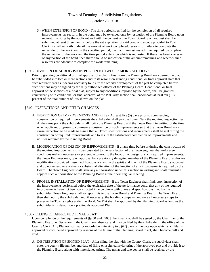3 - WHEN EXTENSION OF BOND - The time period specified for the completion of all required improvements, as set forth in the bond, may be extended only by resolution of the Planning Board upon request in writing by the applicant and with the consent of the Town Board. Such request shall be submitted at least three months before the set expiration of said bond and a copy provided to Town Clerk. It shall set forth in detail the amount of work completed, reasons for failure to complete the remainder of the work within the specified period, the maximum estimated time required to complete the remainder of the work and the time period extension which is requested. If there has been a release of any portion of the bond, then there should be indication of the amount remaining and whether such resources are adequate to complete the work remaining.

#### §530 - DIVISION OF SUBDIVISION PLAT INTO TWO OR MORE SECTIONS

Prior to granting conditional or final approval of a plat in final form the Planning Board may permit the plat to be subdivided into two or more sections and in its resolution granting conditional or final approval state that such requirements as it deems necessary to insure the orderly development of the plat be completed before such sections may be signed by the duly authorized officer of the Planning Board. Conditional or final approval of the sections of a final plat, subject to any conditions imposed by the board, shall be granted concurrently with conditional or final approval of the Plat. Any section shall encompass at least ten (10) percent of the total number of lots shown on the plat.

# §540 - INSPECTIONS AND FIELD CHANGES

- A. INSPECTION OF IMPROVEMENTS AND FEES At least five (5) days prior to commencing construction of required improvements the subdivider shall pay the Town Clerk the required inspection fee. At the same point the subdivider shall notify the Planning Board and the Town Board in writing of the time when applicant proposes to commence construction of such improvements so that the Town Board may cause inspection to be made to assure that all Town specifications and requirements shall be met during the construction of required improvements and to assure the satisfactory completion of improvements and utilities required by the Planning Board.
- B. MODIFICATION OF DESIGN OF IMPROVEMENTS If at any time before or during the construction of the required improvements it is demonstrated to the satisfaction of the Town engineer that unforeseen conditions make it necessary or preferable to modify the location or design of such required improvements, the Town Engineer may, upon approval by a previously delegated member of the Planning Board, authorize modifications provided these modifications are within the spirit and intent of the Planning Board's approval and do not extend to a waiver or substantial alteration of the function of any improvements required by the Board. The Town Engineer shall issue any authorization under this section in writing and shall transmit a copy of such authorization to the Planning Board at their next regular meeting.
- C. PROPER INSTALLATION OF IMPROVEMENTS If the Town Engineer shall find, upon inspection of the improvements performed before the expiration date of the performance bond, that any of the required improvements have not been constructed in accordance with plans and specifications filed by the subdivider, Town Engineer shall so report this to the Town Board and Planning Board. The Town Board then shall notify the subdivider and, if necessary, the bonding company, and take all necessary steps to preserve the Town's rights under the Bond. No Plat shall be approved by the Planning Board as long as the subdivider is in default on a previously approved Plat.

#### §550 - FILING OF APPROVED FINAL PLAT

Upon completion of the requirements of [§250 and §560], the Final Plat shall be signed by the Chairman of the Planning Board, or Secretary in the Chairman's absence, and may be filed by the subdivider in the office of the County Clerk. Any Plat not so filed or recorded within sixty two (62) days of the date upon which such Plat is approved or considered approved by reasons of the failure of the Planning Board to act, shall become null and void.

A. DISTRIBUTION OF SIGNED PLAT - After filing the plat with the County Clerk, the subdivider shall enter the county file number and date of filing on a signed mylar print of the approved plat and provide it to the Planning Board along with nine signed prints. The mylar and two copies shall be retained by the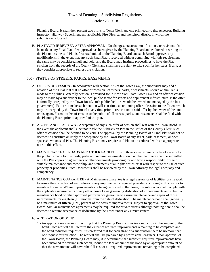Planning Board. It shall then present two prints to Town Clerk and one print each to the: Assessor, Building Inspector, Highway Superintendent, applicable Fire District, and the school district in which the subdivision is located.

B. PLAT VOID IF REVISED AFTER APPROVAL - No changes, erasures, modifications, or revisions shall be made in any Final Plat after approval has been given by the Planning Board and endorsed in writing on the Plat unless the said Plat is first resubmitted to the Planning Board and such Board approves any modifications. In the event that any such Final Plat is recorded without complying with this requirement, the same may be considered null and void, and the Board may institute proceedings to have the Plat stricken from the records of the County Clerk and shall have the right to take such further steps, if any, as they consider appropriate to redress the violation.

## §560 - STATUS OF STREETS, PARKS, EASEMENTS

- A. OFFERS OF CESSION In accordance with section 278 of the Town Law, the subdivider may add a notation of the Final Plat that no offer of "cession" of streets, parks, or easements, shown on the Plat is made to the public (Generally cession is provided for in New York State Town Law and an offer of cession may be made by a subdivider to the local public sector for streets and appurtenant infrastructure. If the offer is formally accepted by the Town Board, such public facilities would be owned and managed by the local government). Failure to make such notation will constitute a continuing offer of cession to the Town, which may be accepted by the Town Board at any time prior to revocation of said offer by the owner of the land or his agent. Formal offers of cession to the public of all streets, parks, and easements, shall be filed with the Planning Board prior to approval of the plat.
- B. ACCEPTANCE BY TOWN Acceptance of any such offer of cession shall rest with the Town Board. In the event the applicant shall elect not to file the Subdivision Plat in the Office of the County Clerk, such offer of cession shall be deemed to be void. The approval by the Planning Board of a Final Plat shall not be deemed to constitute or imply the acceptance by the Town Board of any street, park, easement, or open space shown on said Plat. The Planning Board may require said Plat to be endorsed with an appropriate note to this effect.
- C. MAINTENANCE OF ROADS AND OTHER FACILITIES In those cases where no offer of cession to the public is made for the roads, parks and required easements shown on the Plat, there shall be submitted with the Plat copies of agreements or other documents providing for and fixing responsibility for their suitable maintenance and ownership, and statements of all rights which exist with respect to the use of such property or properties. Such Documents shall be reviewed by the Town Attorney for legal adequacy and competency.
- D. MAINTENANCE GUARANTEE A Maintenance guarantee is a legal assurance of facilities or site work to ensure the correction of any failures of any improvements required provided according to this law, or to maintain the same. Where improvements are being dedicated to the Town, the subdivider shall comply with the applicable requirements of any other Town Laws governing dedication of improvements and submit a maintenance bond or other approved performance guarantee to assure maintenance and repair of those improvements for eighteen (18) months from the date of dedication. The maintenance bond shall generally be a maximum of fifteen (15%) percent of the costs of improvements, subject to approval of the Town Board. Similar maintenance agreements may be required for private streets although nothing herein shall be deemed to require acceptance of dedication by the Town under any circumstances.

#### E. ALTERATION OF BOND

1 - An applicant may request in writing that the Planning Board authorize a reduction in the amount of the bond. Such request shall itemize the extent of required improvements remaining to be completed and the bond reduction requested. It is preferred that for each stage of a subdivision there be no more than one request for reduction. The request shall be prepared by a professional engineer. Upon approval of the Town Board, the Planning Board may, if it determines that sufficient required improvements have been installed to warrant such action, reduce the face amount of the bond by an appropriate amount so that the new amount will cover the full cost of all required improvements remaining to be completed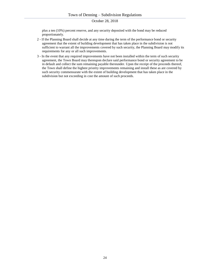plus a ten (10%) percent reserve, and any security deposited with the bond may be reduced proportionately.

- 2 If the Planning Board shall decide at any time during the term of the performance bond or security agreement that the extent of building development that has taken place in the subdivision is not sufficient to warrant all the improvements covered by such security, the Planning Board may modify its requirements for any or all such improvements.
- 3 In the event that any required improvements have not been installed within the term of such security agreement, the Town Board may thereupon declare said performance bond or security agreement to be in default and collect the sum remaining payable thereunder. Upon the receipt of the proceeds thereof, the Town shall define the highest priority improvements remaining and install these as are covered by such security commensurate with the extent of building development that has taken place in the subdivision but not exceeding in cost the amount of such proceeds.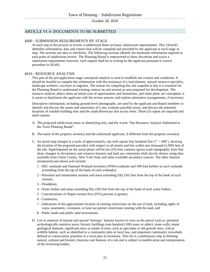# ARTICLE VI ☆ DOCUMENTS TO BE SUBMITTED

#### §600 - SUBMISSION REQUIREMENTS BY STAGE

At each step in the process to review a subdivision there are basic submission requirements. This [Article] identifies information, data and criteria that will be compiled and provided by the applicant at each stage or step. The sections are akin to checklists. The following sections identify the minimum information required at each point of subdivision review. The Planning Board is empowered to show discretion and waive a submission requirement; however, such request shall be in writing by the applicant pursuant to waiver procedure in [§140].

## §610 - RESOURCE ANALYSIS

This part of the pre-application stage conceptual analysis is used to establish site context and conditions. It should be feasible to compile this information with the assistance of a land planner, natural resource specialist, landscape architect, surveyor or engineer. The reason for compiling this site snapshot is that it is essential for the Planning Board to understand existing context on and around an area proposed for development. The resource analysis allows them an initial scan of opportunities and limitations, and when plans are conceptual, it is easier to familiarize the applicant with the review process and explore alternative arrangements, if necessary.

Descriptive information, including ground-level photographs, are used by the applicant and Board members to identify and discuss the assets and constraints of a site, evaluate possible issues, and discuss the potential locations of suitable building sites and the roads/driveways that access them. Three (3) copies are required and shall contain:

- A. The proposed subdivision name or identifying title, and the words "Site Resource Analysis Submitted to the Town Planning Board".
- B. The name of the property owner(s) and the authorized applicant, if different from the property owner(s).
- C. An aerial map (image) at a scale of approximately one inch equals four hundred feet ( $1'' = 400'$ ), showing the location of the proposed parcel(s) with respect to all streets and lots within one thousand (1,000) feet of the site. Superimposed on the aerial photo will be ten (10) foot contours (gross-scale topographic lines that show changes in elevations), and resource features and land use constraints shall also be shown, using data available from Ulster County, New York State and other available secondary sources. The other features inventoried and shown will include:
	- 1 DEC wetlands and National Wetland Inventory (NWI) wetlands and 100-foot buffers to such wetlands (extending from the top of the bank of such wetlands);
	- 2 Perennial and intermittent streams and areas extending fifty (50) feet from the top of the bank of such streams;
	- 3 Floodplain;
	- 4 Water bodies and areas extending fifty (50) feet from the top of the bank of such water bodies;
	- 5 Concentrations of Slopes twenty-five (25%) percent or greater;
	- 6 Cemeteries;
	- 7 Indications of the approximate location of existing restrictions on the use of land, including rights of ways, easements, covenants, or land use permit restrictions running with the land; and
	- 8 Public lands and public land reservations.
- D. List or notation of natural and special 'heritage' features known to exist on the parcel such as: potential archeologically sensitive areas; historic buildings (one hundred (100) years or older); stone walls; major geological features; significant trees or stands of trees, such as specimen or old growth trees; critical wildlife habitat, such as identified in a community plan or local law; and important community viewsheds defined as conservation priorities in a local plan or inventory. This list is a preliminary step in defining natural, cultural and historic character and features of a site and is subject to modification and interpretation of the reviewing bodies.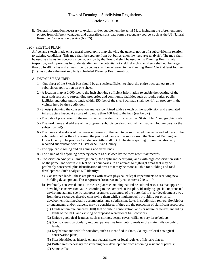E. General information necessary to explain and/or supplement the aerial Map, including the aforementioned photos from different vantages; and generalized soils data form a secondary source, such as the US Natural Resource Conservation Service (NRCS).

#### §620 - SKETCH PLAN

A freehand sketch made on a general topographic map showing the general notion of a subdivision in relation to existing conditions. This map shall be separate from but builds-upon the 'resource analysis'. The map shall be used as a basis for conceptual consideration by the Town, it shall be used in the Planning Board's site inspection, and it provides for understanding on the potential lot yield. Sketch Plan sheets shall not be larger than 36 by 48 inches and at least five (5) copies shall be delivered to the Planning Board Clerk at least fourteen (14) days before the next regularly scheduled Planning Board meeting.

#### A. DETAILS REQUIRED

- 1 One sheet of the Sketch Plat should be at a scale sufficient to show the entire tract subject to the subdivision application on one sheet.
- 2 A location map at 2,000 feet to the inch showing sufficient information to enable the locating of the tract with respect to surrounding properties and community facilities such as roads, parks, public facilities and other public lands within 250 feet of the site. Such map shall identify all property in the vicinity held by the subdivider.
- 3 Sheet(s) showing the conservation analysis combined with a sketch of the subdivision and associated infrastructure layout at a scale of no more than 100 feet to the inch (see below).
- 4 The date of preparation of the each sheet, a title along with a sub-title "Sketch Plan", and graphic scale.
- 5 The road name and address of the proposed subdivision along with all tax map and lot numbers for the subject parcel(s).
- 6 The name and address of the owner or owners of the land to be subdivided, the name and address of the subdivider if other than the owner, the proposed name of the subdivision, the Town of Denning, and Ulster County. The proposed subdivision title shall not duplicate in spelling or pronunciation any recorded subdivision within Ulster or Sullivan County.
- 7 The applicable zoning and all zoning and street lines.
- 8 The name of all adjoining property owners as disclosed by the most recent tax records.
- 9 Conservation Analysis investigation by the applicant identifying lands with high conservation value on the parcel and within 250 feet of its boundaries, in an attempt to highlight areas that may be preferably conserved, plus identification of areas that may be more suitable for building and road development. Such analysis will identify:
	- a) Constrained lands these are places with severe physical or legal impediments to receiving new building development. These represent 'resource analysis' as items 710 c.1.-9.
	- b) Preferably conserved lands these are places containing natural or cultural resources that appear to have high conservation value according to the comprehensive plan. Identifying special, unprotected environmental and scenic resources promotes awareness of the potential to steer development away from these resources thereby conserving them while simultaneously providing for physical development that inevitably accompanies land subdivision. Later in subdivision review, flexible lot arrangements, and/or waivers, may be considered, if they aid the protection of significant resources.
		- (1) Lands within one hundred (100) feet of public conservation lands or nature preserves, including lands of the DEC and existing or proposed recreational trail corridors;
		- (2) Unique geological features, such as springs, seeps, caves, cliffs, or very large bolders;
		- (3) Scenic views, particularly regional panoramas from public roads or the main trails on public lands;
		- (4) Key habitat and wildlife corridors, such as identified in State, County, or local ecological conservation plans;
		- (5) Sites identified as historic on any federal, state, or local register of historic places;
		- (6) Buffer areas necessary for screening new development from adjoining residential parcels;
		- (7) Stone walls;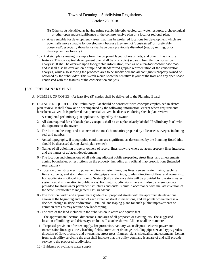- (8) Other spots identified as having prime scenic, historic, ecological, water resource, archaeological or other open space significance in the comprehensive plan or a local or regional plan.
- c) Areas suitable for development areas that may be preferred locations for development which are potentially more suitable for development because they are not 'constrained' or 'preferably conserved', especially those lands that have been previously disturbed (e.g. by mining, prior development, or forestry).
- 10 A sketch plan showing in simple form the proposed layout of roads, lots, and other infrastructure features. This conceptual development plan shall be on sheet(s) separate from the 'conservation analysis'. It shall be overlaid upon topographic information, such as on a ten-foot contour base map, and it shall also be overlain on a simplified/ standardized graphic representation of the conservation analysis, while also showing the proposed area to be subdivided and all contiguous property owned or optioned by the subdivider. This sketch would show the tentative layout of the tract and any open space contrasted with the features of the conservation analysis.

#### §630 - PRELIMINARY PLAT

- A. NUMBER OF COPIES At least five (5) copies shall be delivered to the Planning Board.
- B. DETAILS REQUIRED The Preliminary Plat should be consistent with concepts emphasized in sketch plan review. It shall show or be accompanied by the following information, except where requirements have been waived. It is preferred that potential waivers be discussed during sketch plan review:
	- 1 A completed preliminary plat application, signed by the owner.
	- 2 All data required for a 'sketch plan', except it shall be on a plan clearly labeled "Preliminary Plat" with the signature of the owner.
	- 3 The location, bearings and distances of the tract's boundaries prepared by a licensed surveyor, including seal and number.
	- 4 Actual topography, if topographic conditions are significant, as determined by the Planning Board (this should be discussed during sketch plan review).
	- 5 Names of all adjoining property owners of record, lines showing where adjacent property lines intersect, and the names of adjacent developments.
	- 6 The location and dimensions of all existing adjacent public properties, street lines, and all easements, zoning boundaries, or restrictions on the property, including any official map prescriptions (intended reservations).
	- 7 Location of existing electric power and transmission lines, gas lines, sewers, water mains, leaching fields, culverts, and storm drains including pipe size and type, grades, direction of flow, and ownership. For subdivisions, Global Positioning System (GPS) reference data will be provided for the stormwater system outfalls in relation to public ways. For major subdivisions there will also be reference data provided for stormwater permanent structures and outfalls built in accordance with the latest version of the State Stormwater Management Design Manual.
	- 8 The location, width and approximate grade of all proposed streets with the approximate elevations shown at the beginning and end of each street, at street intersections, and all points where there is a decided change in slope or direction. Detailed landscaping plans for such public improvements or common areas as may require new landscaping.
	- 9 The area of the land included in the subdivision in acres and square feet
	- 10 The approximate location, dimensions, and area of all proposed or existing lots. The suggested location of buildings and driveways on lots will also be shown. All lots shall be numbered.
	- 11 Proposed provision of water supply, fire protection, sanitary waste disposal, electric power and transmission lines, gas lines, leaching fields, stormwater drainage including pipe size and type, grades, direction of flow, pressure and ownership, street trees, fixtures, signs, sidewalks, and easements. Letters from each utility servicing the area shall indicate that the utility company is aware of and will provide service to the proposed subdivision.
	- 12 Evidence of available water supply.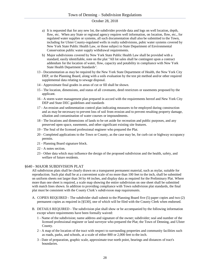- a) It is requested that for any new lot, the subdivider provide data and logs on well location, depth, flow, etc. When any State or regional agency requires well information, on location, flow, etc., for regulated water supplies or systems, all such documentation shall also be submitted to the Town, including for Ulster County-regulated wells in realty subdivisions, pubic water systems covered by New York State Public Health Law, or those subject to State Department of Environmental Conservation public water supply withdrawal requirements.
- b) Major subdivisions covered by New York State Public Health Law shall be provided with a standard, easily identifiable, note on the plat "All lot sales shall be contingent upon a contract addendum for the location of water, flow, capacity and potability in compliance with New York State Health Department Standards".
- 13 Documentation as may be required by the New York State Department of Health, the New York City DEP, or the Planning Board, along with a soils evaluation by the test pit method and/or other required supplemental data relating to sewage disposal.
- 14 Approximate final grades in areas of cut or fill shall be shown.
- 15 The location, dimensions, and status of all covenants, deed restrictors or easements proposed by the applicant.
- 16 A storm water management plan prepared in accord with the requirements hereof and New York City DEP and State DEC guidelines and standards
- 17 An erosion and sedimentation control plan indicating measures to be employed during construction and as may be necessary to prevent loss of soil from erosion and to prevent resulting property damage, siltation and contamination of water courses or impoundments.
- 18 The locations and dimensions of lands to be set aside for recreation and public purposes, and any preserved open space, easements, and other significant existing site features.
- 19 The Seal of the licensed professional engineer who prepared the Plat.
- 20 Completed applications to the Town or County, as the case may be, for curb cut or highway occupancy permits.
- 21 Planning Board signature block.
- 22 A notes section.
- 23 Other data which may influence the design of the proposed subdivision and the health, safety, and welfare of future residents.

#### §640 - MAJOR SUBDIVISION PLAT

All subdivision plats shall be clearly drawn on a transparent permanent material, such as mylar, suitable for reproduction. Such plat shall be at a convenient scale of no more than 100 feet to the inch, shall be submitted on uniform sheets not larger than 34 by 44 inches, and display data as required for the Preliminary Plat. Where more than one sheet is required, a scale map showing the entire subdivision on one sheet shall be submitted with match lines shown. In addition to providing compliance with Town subdivision plat standards, the final plat must be consistent with the County Clerk's subdivision map requirements.

- A. COPIES REQUIRED The subdivider shall submit to the Planning Board five (5) paper copies and two (2) permanent copies as required in [§530], one of which will be filed with the County Clerk when endorsed.
- B. DETAILS REQUIRED The subdivision plat shall show or be accompanied by the following information except where requirements have been formally waived:
	- 1 Name of the subdivision; name address and signature of the owner; subdivider; seal and number of the licensed professional engineer or land surveyor who prepared the Plat; the Town of Denning, and Ulster County.
	- 2 A map of the location of the tract with respect to surrounding properties and community facilities such as roads, parks, and schools, at a scale of either 800 or 2,000 feet to the inch.
	- 3 Date of preparation, graphic scale, approximate true north point, bearings and distances of tract's boundaries.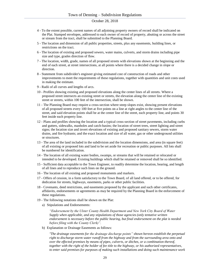- 4 To the extent possible, current names of all adjoining property owners of record shall be indicated on the Plat. Stamped envelopes, addressed to each owner of record of property, abutting or across the street or stream from the tract, shall be submitted to the Planning Board.
- 5 The location and dimension of all public properties, streets, plus any easements, building lines, or restrictions on the tract.
- 6 The location of existing and proposed sewers, water mains, culverts, and storm drains including pipe size and type, grades direction of flow.
- 7 The location, width, grade, names of all proposed streets with elevations shown at the beginning and the end of each street, at street intersections, at all points where there is a decided change in slope or direction.
- 8 Statement from subdivider's engineer giving estimated cost of construction of roads and other improvements to meet the requirements of these regulations, together with quantities and unit costs used in making the estimate.
- 9 Radii of all curves and lengths of arcs.
- 10 Profiles showing existing and proposed elevations along the center lines of all streets. Where a proposed street intersects an existing street or streets, the elevation along the center line of the existing street or streets, within 100 feet of the intersection, shall be shown.
- 11 The Planning Board may require a cross-section where steep slopes exist, showing present elevations of all proposed streets every 100 feet at five points on a line at right angles to the center line of the street, and said elevation points shall be at the center line of the street, each property line, and points 30 feet inside each property line.
- 12 Plans and profiles showing the location and a typical cross-section of street pavements, including curbs and gutters, sidewalks, manholes and catch-basins; the location of street trees, street lighting and street signs; the location size and invert elevations of existing and proposed sanitary sewers, storm water drains, and fire hydrants; and the exact location and size of all water, gas or other underground utilities or structures.
- 13 The area of the land included in the subdivision and the location dimensions, and area (in square feet) of all existing or proposed lots and land to be set aside for recreation or public purposes. All lots shall be numbered for identification.
- 14 The location of all existing water bodies, swamps, or streams that will be retained or relocated or intended to be developed. Existing buildings which shall be retained or removed shall be so identified.
- 15 Sufficient data acceptable to the Town Engineer, to readily determine the location, hearing, and length of all lines and to reproduce such lines on the ground.
- 16 The location of all existing and proposed monuments and markers.
- 17 Offers of cession, in a form satisfactory to the Town Board, of all land offered, or to be offered, for dedication for streets, highways, easements, parks or other public facilities.
- 18 Covenants, deed restrictions, and easements proposed by the applicant and such other certificates, affidavits, endorsements or agreements as may be required by the Planning Board in the enforcement of these regulations.
- 19 The following notations shall be shown on the Plat:
	- a) Stipulations and Endorsements:

*"Endorsement by the Ulster County Health Department and New York City Board of Water Supply when applicable, and any stipulations of those agencies (only tentative written endorsement is necessary before the public hearing, but final endorsement on the plat is needed before filing with the County Clerk)".* 

b) Explanation or Drainage Easements as follows:

*"The drainage easements for the drainage discharge points" shown hereon establish the perpetual right to discharge storm water runoff from the highway and from the surrounding area onto and over the effected premises by means of pipes, culverts, or ditches, or a combination thereof, together with the right of the holder of fee title to the highway, or his authorized representatives, to enter said premises for purposes of making such installations and doing such maintenance work*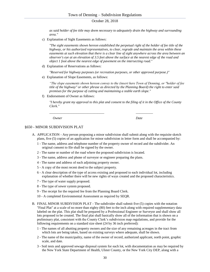*as said holder of fee title may deem necessary to adequately drain the highway and surrounding area."* 

c) Explanation of Sight Easements as follows:

*"The sight easements shown hereon established the perpetual right of the holder of fee title of the highway, or his authorized representatives, to clear, regrade and maintain the area within these easements at such elevation that there is a clear line of sight anywhere across the area between an observer's eye at an elevation of 3.5 feet above the surface at the nearest edge of the road and object 1 foot above the nearest edge of pavement on the intersecting road."* 

d) Explanation of Reservations as follows:

*"Reserved for highway purposes (or recreation purposes, or other approved purpose.)"* 

e) Explanation of Slope Easements, as follows:

*"The slope easements shown hereon convey to the (insert here Town of Denning, or "holder of fee title of the highway" or other phrase as directed by the Planning Board) the right to enter said premises for the purpose of cutting and maintaining a stable earth slope."* 

f) Endorsement of Owner as follows:

*"I hereby grant my approval to this plat and consent to the filing of it in the Office of the County Clerk."* 

*Owner* Date

#### §650 - MINOR SUBDIVISION PLAT

A. APPLICATION - Any person proposing a minor subdivision shall submit along with the requisite sketch plans, five (5) copies of an application for minor subdivision in letter form and shall be accompanied by:

*\_\_\_\_\_\_\_\_\_\_\_\_\_\_\_\_\_\_\_\_\_\_\_\_\_\_\_\_\_\_\_\_ \_\_\_\_\_\_\_\_\_\_*

- 1 The name, address and telephone number of the property owner of record and the subdivider. An original consent to file shall be signed by the owner.
- 2 The name or number of the road where the proposed subdivision is located.
- 3 The name, address and phone of surveyor or engineer preparing the plans.
- 4 The name and address of each adjoining property owner.
- 5 A copy of the most recent deed to the subject property.
- 6 A clear description of the type of access existing and proposed to each individual lot, including explanation of whether there will be new rights of ways created and the proposed characteristics.
- 7 The type of water supply proposed.
- 8 The type of sewer system proposed.
- 9 The receipt for the required fee from the Planning Board Clerk.
- 10 A completed Environmental Assessment as required by SEQR.
- B. FINAL MINOR SUBDIVISION PLAT The subdivider shall submit five (5) copies with the notation "Final Plat" at a scale of no more than eighty (80) feet to the inch along with required supplementary data labeled on the plat. This plat shall be prepared by a Professional Engineer or Surveyor and shall show all lots proposed to be created. The final plat shall basically show all of the information that is shown on a preliminary plat, consistent with the County Clerk's subdivision map regulations, and provide for the following requirements on a standard size sheet (24 by 36 inch preferred):
	- 1 The names of all abutting property owners and the size of any remaining acreages in the tract from which lots are being taken, based on existing surveys where adequate, shall be shown.
	- 2 The name of the municipality, name of the owner of record, authorized applicant, north point, graphic scale, and date.
	- 3 Soil tests and approved sewage disposal system for each lot, with documentation as may be required by the New York State Department of Health, Ulster County, or the New York City DEP, along with a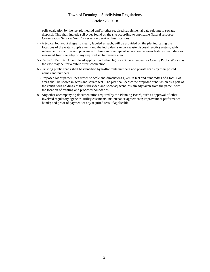soils evaluation by the test pit method and/or other required supplemental data relating to sewage disposal. This shall include soil types found on the site according to applicable Natural resource Conservation Service/ Soil Conservation Service classifications.

- 4 A typical lot layout diagram, clearly labeled as such, will be provided on the plat indicating the locations of the water supply (well) and the individual sanitary waste disposal (septic) system, with reference to structures and proximate lot lines and the typical separation between features, including as measured from the edge of any required septic reserve area.
- 5 Curb Cut Permits. A completed application to the Highway Superintendent, or County Public Works, as the case may be, for a public street connection.
- 6 Existing public roads shall be identified by traffic route numbers and private roads by their posted names and numbers.
- 7 Proposed lot or parcel lines drawn to scale and dimensions given in feet and hundredths of a foot. Lot areas shall be shown in acres and square feet. The plat shall depict the proposed subdivision as a part of the contiguous holdings of the subdivider, and show adjacent lots already taken from the parcel, with the location of existing and proposed boundaries.
- 8 Any other accompanying documentation required by the Planning Board, such as approval of other involved regulatory agencies; utility easements; maintenance agreements; improvement performance bonds; and proof of payment of any required fees, if applicable.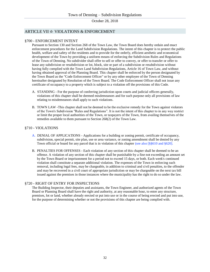# ARTICLE VII ☆ VIOLATIONS & ENFORCEMENT

#### §700 - ENFORCEMENT INTENT

Pursuant to Section 130 and Section 268 of the Town Law, the Town Board does hereby ordain and enact enforcement procedures for the Land Subdivision Regulations. The intent of this chapter is to protect the public health, welfare and safety of the residents and to provide for the orderly, efficient aesthetic and economical development of the Town by providing a uniform means of enforcing the Subdivision Rules and Regulations of the Town of Denning. No subdivider shall offer to sell or offer to convey, or offer to transfer or offer to lease any subdivision or resubdivision or lot, block, site or part of a subdivision or resubdivision without having fully complied with the Town Land Subdivision Regulations, Article 16 of Town Law, and without having obtained approval of the Planning Board. This chapter shall be enforced by the person designated by the Town Board as the "Code Enforcement Officer" or by any other employee of the Town of Denning hereinafter designated by Resolution of the Town Board. The Code Enforcement Officer shall not issue any certificate of occupancy to a property which is subject to a violation off the provisions of this Code.

- A. STANDING For the purpose of conferring jurisdiction upon courts and judicial officers generally, violations of this chapter shall be deemed misdemeanors and for such purpose only all provisions of law relating to misdemeanors shall apply to such violations.
- B. TOWN LAW -This chapter shall not be deemed to be the exclusive remedy for the Town against violators of the Town's Subdivision "Rules and Regulations". It is not the intent of this chapter to in any way restrict or limit the proper local authorities of the Town, or taxpayers of the Town, from availing themselves of the remedies available to them pursuant to Section 268(2) of the Town Law.

## §710 - VIOLATIONS

- A. DENIAL OF APPLICATIONS Applications for a building or zoning permit, certificate of occupancy, subdivision, special permit, site plan, use or area variance, or zoning amendment shall be denied by any Town official or board for any parcel that is in violation of this chapter (see also [§§610 and §620].
- B. PENALTIES FOR OFFENSES Each violation of any section of this chapter shall be deemed to be an offense. A violation of any section of this chapter shall be punishable by a fine not exceeding an amount set by the Town Board or imprisonment for a period not to exceed 15 days, or both. Each week's continued violation shall constitute a separate additional violation. The expenses of the Town in enforcing such removal, including legal fees, may be chargeable, in addition to criminal and civil penalties, to the offender and may be recovered in a civil court of appropriate jurisdiction or may be chargeable on the next tax bill issued against the premises in those instances where the municipality has the right to do so under the law.

# §720 - RIGHT OF ENTRY FOR INSPECTIONS

The Building Inspector, their deputies and assistants, the Town Engineer, and authorized agents of the Town Board or Planning Board shall have the right and authority, at any reasonable hour, to enter any structure, premises, lot or land, whether already erected or put into use or in the course of being erected and put into use, for the purpose of determining whether or not the provisions of this chapter are being complied with.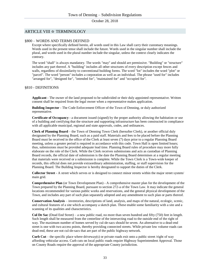# ARTICLE VIII ☆ TERMINOLOGY

#### §800 – WORDS AND TERMS DEFINED

Except where specifically defined herein, all words used in this Law shall carry their customary meanings. Words used in the present tense shall include the future. Words used in the singular number shall include the plural, and words used in the plural number include the singular, unless the context clearly indicates the contrary.

The word "shall" is always mandatory. The words "may" and should are permissive. "Building" or "structure" includes any part thereof. A "building" includes all other structures of every description except fences and walls, regardless of dissimilarity to conventional building forms. The word "lot" includes the word "plot" or "parcel". The word "person" includes a corporation as well as an individual. The phrase "used for" includes "arranged for", "designed for", "intended for", "maintained for" and "occupied for".

#### §810 - DEFINITIONS

**Applicant** - The owner of the land proposed to be subdivided or their duly appointed representative. Written consent shall be required from the legal owner when a representative makes application.

**Building Inspector** - The Code Enforcement Officer of the Town of Denning, or duly authorized representative.

**Certificate of Occupancy** - a document issued (signed) by the proper authority allowing the habitation or use of a building and certifying that the structure and supporting infrastructure has been constructed in compliance with all applicable municipal, regional and state approvals, codes, and ordinances.

**Clerk of Planning Board** – the Town of Denning Town Clerk (hereafter Clerk), or another official duly designated by the Planning Board, such as a paid staff. Materials and fees to be placed before the Planning Board must be received in the office of the Clerk at least seven (7) days prior to a regular Planning Board meeting, unless a greater period is required in accordance with this code. Town Hall is open limited hours; thus, submissions must be provided adequate lead time. Planning Board rules of procedure may more fully elaborate on the role of the Clerk. While the Clerk receives submissions and acts as custodian of Planning Board records, the official date of submission is the date the Planning Board determines at a regular meeting that materials were received or a submission is complete. While the Town Clerk is a Town-wide keeper of records, this official does not provide extraordinary administration, staffing, or staff supervision for the Planning Board. The Building Inspector is hereby designated to support the duties of the Clerk.

**Collector Street** - A street which serves or is designed to connect minor streets within the major street system/ main grid.

**Comprehensive Plan** (or Town Development Plan) - A comprehensive master plan for the development of the Town prepared by the Planning Board, pursuant to section 272-a of the Town Law. It may indicate the general locations recommended for various public works and reservations, and the general physical development of the Town, and includes any part of such plan separately adopted and any amendment to such plan or parts thereof.

**Conservation Analysis** – inventories, descriptions of land, analysis, and maps of the natural, ecologic, scenic, and cultural features of a site which accompany a sketch plan. These enable some familiarity with a site and a scanning of its qualities and characteristics.

**Cul De Sac** (Dead End Street) – a new public road, no more than seven hundred and fifty (750) feet in length. Such length shall be measured from the centerline of the intersecting road to the outside end of the right of way. The maximum number of homes served by cul-de-sacs should be seven. An alternative to a dead-end street is one with two access points, thereby providing connected streets. While private low volume roads can dead-end, these are not cul-de-sacs that are part of the public highway network.

**Curb Cut** – the specific place where driveway(s) or private roads exit onto a public street /right of way affording vehicular access. Curb cuts on local public roads require Highway Superintendent Approval. Those on County Roads require the approval of the appropriate County jurisdiction.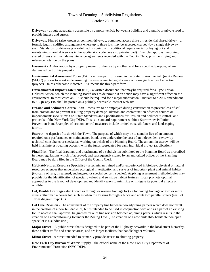**Driveway** - a route adequately accessible by a motor vehicle between a building and a public or private road to provide ingress and egress.

**Driveway, Shared** (also known as common driveway, combined access drive or residential shared drive) – a formal, legally codified arrangement where up to three lots may be accessed (served) by a single driveway stem. Standards for driveways are defined in zoning with additional requirements for laying out and maintaining shared driveways in the subdivision code (see also private road). Final plat approval involving shared drives shall include maintenance agreements recorded with the County Clerk, plus identifying and reference notation on the plans.

**Easement** - Authorization by a property owner for the use by another, and for a specified purpose, of any designated part of his property.

**Environmental Assessment Form** (EAF) - a three part form used in the State Environmental Quality Review (SEQR) process to assist in determining the environmental significance or non-significance of an action (project). Unless otherwise indicated EAF means the three-part form.

**Environmental Impact Statement** (EIS) - a written document, that may be required for a Type I or an Unlisted Action, which the Planning Board uses to determine if an action may have a significant effect on the environment. In most cases an EIS should be required for a major subdivision. Pursuant to a 2005 amendment to SEQR any EIS shall be posted on a publicly accessible internet web site.

**Erosion and Sediment Control Plan** – measures to be employed during construction to prevent loss of soil from erosion and to prevent resulting property damage, siltation and contamination of water courses or impoundments (see "New York State Standards and Specifications for Erosion and Sediment Control" and protocols of the New York City DEP). This is a standard requirement within a Stormwater Pollution Prevention Plan. Examples of erosion control measures include limited cuts, silt fences and landscaping fabrics.

**Escrow** - A deposit of cash with the Town. The purpose of which may be to stand in lieu of an amount required on a performance or maintenance bond, or to underwrite the cost of an independent review by technical consultants or specialists working on behalf of the Planning Board. The amount in escrow will be held in an interest-bearing account, with the funds segregated for each individual project (application).

**Final Plat** - The final drawings and attachments of a subdivision submitted to the Planning Board as prescribed in these regu1ations which, if approved, and subsequently signed by an authorized officer of the Planning Board may be duly filed in the Office of the County Clerk.

**Habitat/Natural Resource Specialist** – a technician trained and/or experienced in biology, physical or natural resources sciences that undertakes ecological investigation and surveys of important plant and animal habitat (typically of rare, threatened, endangered or special concern species). Applying assessment methodologies may provide for the identification of specially valued and sensitive habitat features. It can promote optimal approaches to the layout of development and identify ways to minimize or mitigate its potential affects on wildlife.

Lot, Double Frontage (also known as through or reverse frontage lot) - a lot having frontage on two or more streets other than a corner lot, such as when the lot runs through a block and abuts two parallel streets (see Lot Types diagram 'type C').

**Lot Line Revision** - The adjustment of the property line between two adjoining parcels which does not result in the creation of a new buildable lot, but is intended to be used in conjunction with and as a part of an existing lot. In no case shall approval be granted for a lot line revision between adjoining parcels which results in the creation of a nonconforming lot under the Zoning Law. (The creation of a new buildable/ habitable non open space lot is a subdivision.)

**Major Street** – A public street that is designed to be part of the Highway network; in the local street hierarchy, these collect traffic and connect areas, and are larger facilities that handle higher volumes.

**Minor Street** - A street intended to primarily provide access to abutting property.

**New York City Bureau of Water Supply** – the official name of the New York City Department of Environmental Protection (NYC DEP).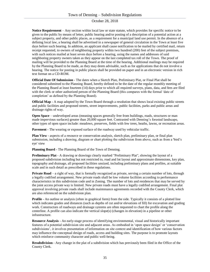**Notice Requirement** – Any section within local law or state statute, which provides for specific notice to be given to the public by means of letter, public hearing and/or posting of a description of a potential action at a subject property, and other public places, as a requirement for a municipal land use permit. In the absence of a defining local law, a hearing shall be advertised in a newspaper of general circulation in the Town at least five days before such hearing. In addition, an applicant shall cause notification to be mailed by certified mail, return receipt requested, to owners of neighboring property within two hundred (200) feet of the subject premises, with such notices mailed at least seven days before a hearing, using the names and addresses of said neighboring property owners taken as they appear on the last completed tax roll of the Town. The proof of mailing will be provided to the Planning Board at the time of the hearing. Additional mailings may be required by the Planning Board to be made, as they may deem advisable, such as for applications that do not involve a hearing. The notice for posting in public places shall be provided on paper and in an electronic version in rich text format on a CD-ROM.

**Official Date Of Submission** - The dates when a Sketch Plan, Preliminary Plat, or Final Plat shall be considered submitted to the Planning Board, hereby defined to be the date of the regular monthly meeting of the Planning Board at least fourteen (14) days prior to which all required surveys, plans, data, and fees are filed with the clerk or other authorized person of the Planning Board (this compares with the formal 'date of completion' as defined by the Planning Board).

**Official Map** - A map adopted by the Town Board through a resolution that shows local existing public streets and public facilities and proposed streets, street improvements, public facilities, parks and public areas and drainage rights of way.

**Open Space** – undeveloped areas (meaning spaces generally free from buildings, roads, structures or man made impervious surfaces) greater than 20,000 square feet. Contrasted with Denning's forested landscape, other types of open space include: meadows, preserves, fields with few trees, heaths, lawns, or recreation areas.

**Pavement** - The wearing or exposed surface of the roadway used by vehicular traffic.

**Plan View** - aspects of a resource or conservation analysis, sketch plan, preliminary plan, or final plan submission, including a drawing, diagram or chart plotting the subdivision from above, such as from a 'bird's eye' view

**Planning Board** - The Planning Board of the Town of Denning.

**Preliminary Plat** - A drawing or drawings clearly marked "Preliminary Plat", showing the layout of a proposed subdivision including but not restricted to, road and lot layout and approximate dimensions, key plan, topography and drainage, all proposed facilities unsized, including preliminary plans and profiles, at suitable scale and in such detail as prescribed in these regulations.

**Private Road** – a right of way, that is formally recognized as private, serving a certain number of lots, through a legally codified arrangement. New private roads shall be low volume facilities according to performance characteristics in this subdivision code and in Zoning. The number of lots and residences that may be served by the joint access private way is limited. New private roads must have a legally codified arrangement. Final plat approval involving private roads shall include maintenance agreements recorded with the County Clerk, which are also referenced on the subdivision plan.

**Profile** - An outline or analysis (often in graphical form) from the side. Typically it consists of a plotted line which indicates grades and distances (such as depths of cut and/or elevations of fill) for excavation and grading work. Constructors of roadways and drainage systems are often requested to chart the profile along the centerline. A profile can also indicate the vertical slope(s) (changes in elevation) in a pipeline or other infrastructure.

**Resource Analysis** - An early-stage process of identifying environmental, visual and historically important features of a potential subdivision site and adjacent areas. As embodied in 'open space design' or 'conservation subdivisions', it involves presentation of information on site context and identification of how various factors may influence the conceptual design of roads, access and building sites. The purpose is to promote layouts which reinforce community character and public well-being.

**Resubdivision** - Any change in the plat of a subdivision which has previously been filed in the Office of the County Clerk.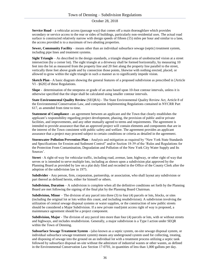**Service Road** – a vehicular access (passage way) that comes off a main thoroughfare which provides secondary or service access to the rear or sides of buildings, particularly non-residential uses. The actual road surface is constructed relatively narrow with design speeds of fifteen (15) miles per hour and similar to a lane, the access provided is to a maximum of two abutting properties.

**Sewer, Community Facility** – means other than an individual subsurface sewage (septic) treatment system, including pipe lines and treatment systems.

**Sight Triangle** – As described in the design standards, a triangle shaped area of unobstructed vision at a street intersection (by a corner lot). The sight triangle at a driveway shall be formed horizontally, by measuring 10 feet into the lot as measured from the property line and 20 feet along the property line parallel to the street, vertically three feet above grade and by connection those points, likewise with nothing erected, placed, or allowed to grow within the sight triangle in such a manner as to significantly impede vision.

**Sketch Plan** - A basic diagram showing the general features of a proposed subdivision as prescribed in [Article VI - §620] of these Regulations.

**Slope** - determination of the steepness or grade of an area based upon 10-foot contour intervals, unless it is otherwise specified that the slope shall be calculated using smaller contour intervals.

**State Environmental Quality Review** (SEQRA) - The State Environmental Quality Review Act, Article 8 of the Environmental Conservation Law, and companion Implementing Regulations contained in NYCRR Part 617, as amended from time to time.

**Statement of Compliance** - an agreement between an applicant and the Town that clearly establishes the applicant's responsibility regarding project development, phasing, the provision of public and/or private facilities, and improvements, and any other mutually agreed to terms and requirements. The agreement is intended to provide assurance that that an approved project will contain elements and components that are in the interest of the Town consistent with public safety and welfare. The agreement provides an applicant assurance that a project may proceed subject to certain conditions or criteria as detailed in the agreement.

**Stormwater Pollution Prevention Plan** - Analysis and mitigation as required by "New York State Standards and Specifications for Erosion and Sediment Control" and/or Section 18-39 of the 'Rules and Regulations for the Protection From Contamination, Degradation and Pollution of the New York City Water Supply and Its Sources'.

**Street** - A right-of-way for vehicular traffic, including road, avenue, lane, highway, or other right of way that serves or is intended to serve multiple lots, including as shown upon a subdivision plat approved by the Planning Board as provided by law on a plat duly filed and recorded in the Office of the County Clerk after the adoption of the subdivision law in 1975.

**Subdivider** - Any person, firm, corporation, partnership, or association, who shall layout any subdivision or part thereof as defined herein, either for himself or others.

**Subdivision, Duration** – A subdivision is complete when all the definitive conditions set forth by the Planning Board are met following the signing of the final plat by the Planning Board Chairman.

**Subdivision, Minor** – The division of any parcel into three (3) to four (4) parcels or lots, blocks, or sites (including the original lot or lots within this count, and including resubdivision). A subdivision involving the utilization of central sewage disposal systems or water supplies, or the construction of new public streets should be considered a Major Subdivision. If a new private road/joint access right of way is proposed, a maintenance agreement should be a project component.

**Subdivision, Major** - The division of any parcel into more than four (4) parcels or lots, with or without streets and highways, and includes resubdivision. Generally, a major subdivision is a Type I action under SEQR within the Town of Denning.

**Subsurface Sewage Treatment System** - (also known as a septic system, on-site sewage disposal system, or individual subsurface sewage treatment system) means any underground system used for collecting, treating, and disposing of sewage into the ground on an individual lot with a treatment process utilizing a septic tank followed by subsurface disposal on-site without the admixture of industrial wastes or other wastes, as defined in the Environmental Conservation Law Section 17-0701, in quantities of less than 1,000 gallons per day.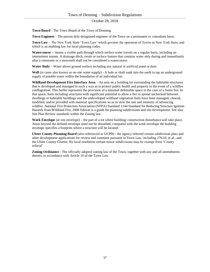**Town Board** - The Town Board of the Town of Denning.

**Town Engineer** - The person duly designated engineer of the Town on a permanent or consultant basis.

**Town Law** – The New York State 'Town Law' which governs the operation of Towns in New York State, and which is an enabling law for local planning codes.

**Watercourse** -- means a visible path through which surface water travels on a regular basis, including an intermittent stream. A drainage ditch, swale or surface feature that contains water only during and immediately after a rainstorm or a snowmelt shall not be considered a watercourse.

**Water Body** – Water above ground surface including any natural or artificial pond or dam.

**Well** (in cases also known as on-site water supply) - A hole or shaft sunk into the earth to tap an underground supply of potable water within the boundaries of an individual lot.

**Wildland-Development Fire Interface Area** – An area on a building lot surrounding the habitable structures that is developed and managed in such a way as to protect public health and property in the event of a wildfire conflagration. This buffer represents the provision of a minimal defensible space in the case of a forest fire. In that space, fuels including structures with significant potential to allow a fire to spread unchecked between dwellings or habitable buildings and the undeveloped wildland vegetation fuels have been managed, cleared, modified, and/or provided with material specifications so as to slow the rate and intensity of advancing wildfire. National Fire Protection Association (NFPA) Standard 1144 Standard for Reducing Structure Ignition Hazards from Wildland Fire, 2008 Edition is a guide for planning subdivisions and site development. See also Site Plan Review standards within the Zoning law.

**Work Envelope** (or site envelope) – the part of a lot where building/ construction disturbance will take place. Areas beyond the defined envelope need not be disturbed; compared with the work envelope the building envelope specifies a footprint where a structure will be located.

**Ulster County Planning Board** (also referenced as UCPB) - the agency referred certain subdivision plats and other development applications for review and comment pursuant to Town Law, including 276.10, et al., and the Ulster County Charter. By local resolution certain minor subdivisions may be exempt from 'County referral'.

**Zoning Ordinance** - The officially adopted zoning law of the Town, together with any and all amendments thereto, in accordance with Article 16 of the Town Law.